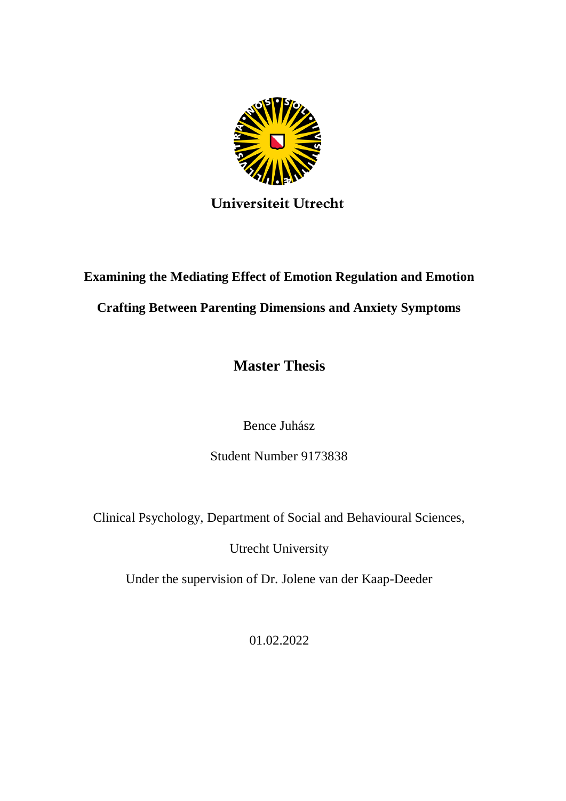

## Universiteit Utrecht

# **Examining the Mediating Effect of Emotion Regulation and Emotion**

### **Crafting Between Parenting Dimensions and Anxiety Symptoms**

**Master Thesis**

Bence Juhász

Student Number 9173838

Clinical Psychology, Department of Social and Behavioural Sciences,

Utrecht University

Under the supervision of Dr. Jolene van der Kaap-Deeder

01.02.2022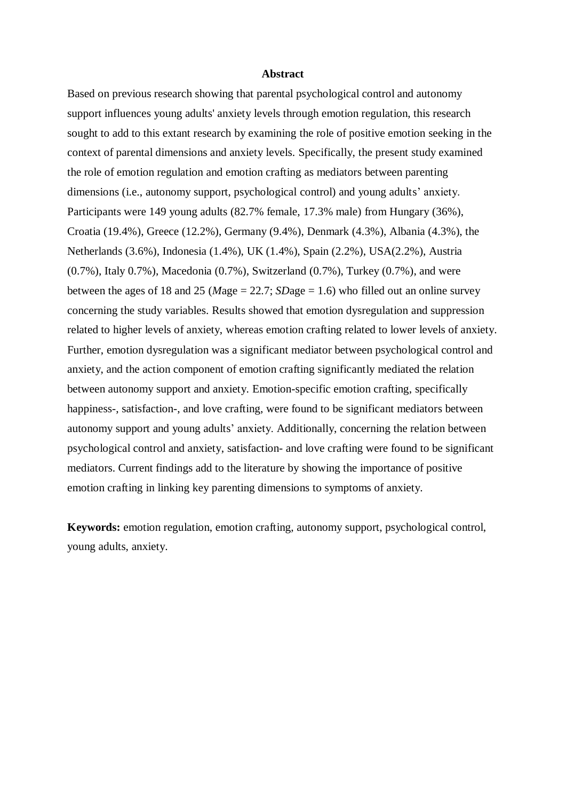#### **Abstract**

Based on previous research showing that parental psychological control and autonomy support influences young adults' anxiety levels through emotion regulation, this research sought to add to this extant research by examining the role of positive emotion seeking in the context of parental dimensions and anxiety levels. Specifically, the present study examined the role of emotion regulation and emotion crafting as mediators between parenting dimensions (i.e., autonomy support, psychological control) and young adults' anxiety. Participants were 149 young adults (82.7% female, 17.3% male) from Hungary (36%), Croatia (19.4%), Greece (12.2%), Germany (9.4%), Denmark (4.3%), Albania (4.3%), the Netherlands (3.6%), Indonesia (1.4%), UK (1.4%), Spain (2.2%), USA(2.2%), Austria (0.7%), Italy 0.7%), Macedonia (0.7%), Switzerland (0.7%), Turkey (0.7%), and were between the ages of 18 and 25 (*Mage*  $= 22.7$ ; *SDage*  $= 1.6$ ) who filled out an online survey concerning the study variables. Results showed that emotion dysregulation and suppression related to higher levels of anxiety, whereas emotion crafting related to lower levels of anxiety. Further, emotion dysregulation was a significant mediator between psychological control and anxiety, and the action component of emotion crafting significantly mediated the relation between autonomy support and anxiety. Emotion-specific emotion crafting, specifically happiness-, satisfaction-, and love crafting, were found to be significant mediators between autonomy support and young adults' anxiety. Additionally, concerning the relation between psychological control and anxiety, satisfaction- and love crafting were found to be significant mediators. Current findings add to the literature by showing the importance of positive emotion crafting in linking key parenting dimensions to symptoms of anxiety.

**Keywords:** emotion regulation, emotion crafting, autonomy support, psychological control, young adults, anxiety.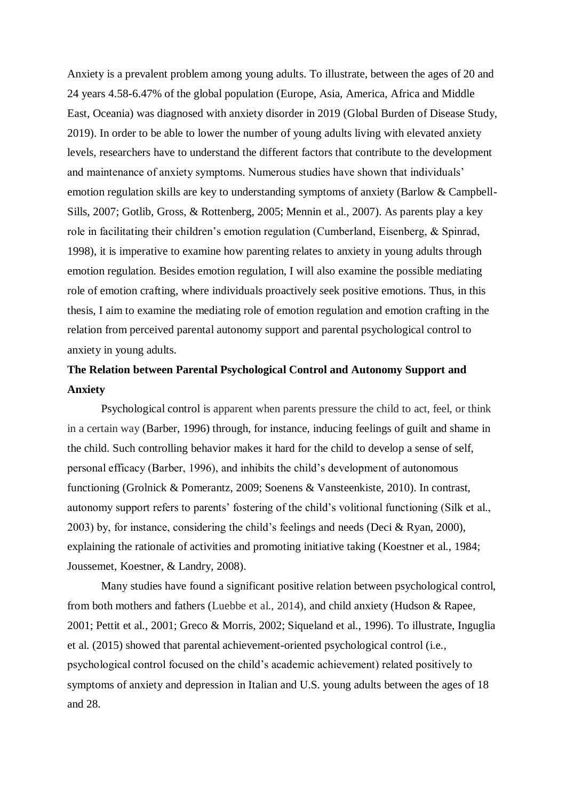Anxiety is a prevalent problem among young adults. To illustrate, between the ages of 20 and 24 years 4.58-6.47% of the global population (Europe, Asia, America, Africa and Middle East, Oceania) was diagnosed with anxiety disorder in 2019 (Global Burden of Disease Study, 2019). In order to be able to lower the number of young adults living with elevated anxiety levels, researchers have to understand the different factors that contribute to the development and maintenance of anxiety symptoms. Numerous studies have shown that individuals' emotion regulation skills are key to understanding symptoms of anxiety (Barlow & Campbell-Sills, 2007; Gotlib, Gross, & Rottenberg, 2005; Mennin et al., 2007). As parents play a key role in facilitating their children's emotion regulation (Cumberland, Eisenberg, & Spinrad, 1998), it is imperative to examine how parenting relates to anxiety in young adults through emotion regulation. Besides emotion regulation, I will also examine the possible mediating role of emotion crafting, where individuals proactively seek positive emotions. Thus, in this thesis, I aim to examine the mediating role of emotion regulation and emotion crafting in the relation from perceived parental autonomy support and parental psychological control to anxiety in young adults.

### **The Relation between Parental Psychological Control and Autonomy Support and Anxiety**

Psychological control is apparent when parents pressure the child to act, feel, or think in a certain way (Barber, 1996) through, for instance, inducing feelings of guilt and shame in the child. Such controlling behavior makes it hard for the child to develop a sense of self, personal efficacy (Barber, 1996), and inhibits the child's development of autonomous functioning (Grolnick & Pomerantz, 2009; Soenens & Vansteenkiste, 2010). In contrast, autonomy support refers to parents' fostering of the child's volitional functioning (Silk et al., 2003) by, for instance, considering the child's feelings and needs (Deci & Ryan, 2000), explaining the rationale of activities and promoting initiative taking (Koestner et al., 1984; Joussemet, Koestner, & Landry, 2008).

Many studies have found a significant positive relation between psychological control, from both mothers and fathers (Luebbe et al., 2014), and child anxiety (Hudson & Rapee, 2001; Pettit et al., 2001; Greco & Morris, 2002; Siqueland et al., 1996). To illustrate, Inguglia et al. (2015) showed that parental achievement-oriented psychological control (i.e., psychological control focused on the child's academic achievement) related positively to symptoms of anxiety and depression in Italian and U.S. young adults between the ages of 18 and 28.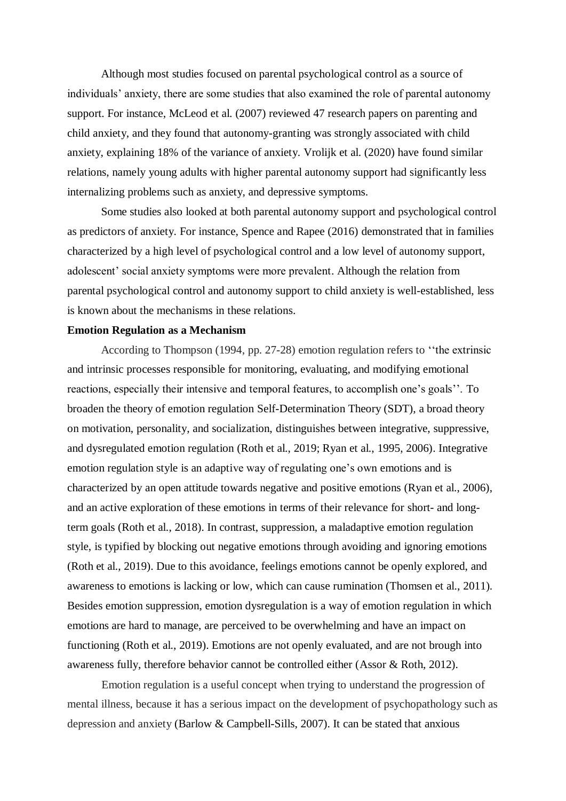Although most studies focused on parental psychological control as a source of individuals' anxiety, there are some studies that also examined the role of parental autonomy support. For instance, McLeod et al. (2007) reviewed 47 research papers on parenting and child anxiety, and they found that autonomy-granting was strongly associated with child anxiety, explaining 18% of the variance of anxiety. Vrolijk et al. (2020) have found similar relations, namely young adults with higher parental autonomy support had significantly less internalizing problems such as anxiety, and depressive symptoms.

Some studies also looked at both parental autonomy support and psychological control as predictors of anxiety. For instance, Spence and Rapee (2016) demonstrated that in families characterized by a high level of psychological control and a low level of autonomy support, adolescent' social anxiety symptoms were more prevalent. Although the relation from parental psychological control and autonomy support to child anxiety is well-established, less is known about the mechanisms in these relations.

#### **Emotion Regulation as a Mechanism**

According to Thompson (1994, pp. 27-28) emotion regulation refers to ''the extrinsic and intrinsic processes responsible for monitoring, evaluating, and modifying emotional reactions, especially their intensive and temporal features, to accomplish one's goals''. To broaden the theory of emotion regulation Self-Determination Theory (SDT), a broad theory on motivation, personality, and socialization, distinguishes between integrative, suppressive, and dysregulated emotion regulation (Roth et al., 2019; Ryan et al., 1995, 2006). Integrative emotion regulation style is an adaptive way of regulating one's own emotions and is characterized by an open attitude towards negative and positive emotions (Ryan et al., 2006), and an active exploration of these emotions in terms of their relevance for short- and longterm goals (Roth et al., 2018). In contrast, suppression, a maladaptive emotion regulation style, is typified by blocking out negative emotions through avoiding and ignoring emotions (Roth et al., 2019). Due to this avoidance, feelings emotions cannot be openly explored, and awareness to emotions is lacking or low, which can cause rumination (Thomsen et al., 2011). Besides emotion suppression, emotion dysregulation is a way of emotion regulation in which emotions are hard to manage, are perceived to be overwhelming and have an impact on functioning (Roth et al., 2019). Emotions are not openly evaluated, and are not brough into awareness fully, therefore behavior cannot be controlled either (Assor & Roth, 2012).

Emotion regulation is a useful concept when trying to understand the progression of mental illness, because it has a serious impact on the development of psychopathology such as depression and anxiety (Barlow & Campbell-Sills, 2007). It can be stated that anxious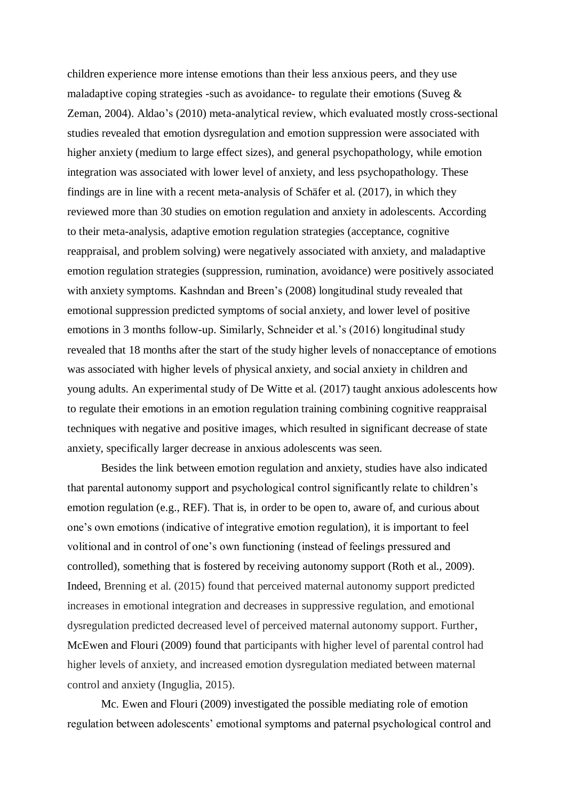children experience more intense emotions than their less anxious peers, and they use maladaptive coping strategies -such as avoidance- to regulate their emotions (Suveg  $\&$ Zeman, 2004). Aldao's (2010) meta-analytical review, which evaluated mostly cross-sectional studies revealed that emotion dysregulation and emotion suppression were associated with higher anxiety (medium to large effect sizes), and general psychopathology, while emotion integration was associated with lower level of anxiety, and less psychopathology. These findings are in line with a recent meta-analysis of Schäfer et al. (2017), in which they reviewed more than 30 studies on emotion regulation and anxiety in adolescents. According to their meta-analysis, adaptive emotion regulation strategies (acceptance, cognitive reappraisal, and problem solving) were negatively associated with anxiety, and maladaptive emotion regulation strategies (suppression, rumination, avoidance) were positively associated with anxiety symptoms. Kashndan and Breen's (2008) longitudinal study revealed that emotional suppression predicted symptoms of social anxiety, and lower level of positive emotions in 3 months follow-up. Similarly, Schneider et al.'s (2016) longitudinal study revealed that 18 months after the start of the study higher levels of nonacceptance of emotions was associated with higher levels of physical anxiety, and social anxiety in children and young adults. An experimental study of De Witte et al. (2017) taught anxious adolescents how to regulate their emotions in an emotion regulation training combining cognitive reappraisal techniques with negative and positive images, which resulted in significant decrease of state anxiety, specifically larger decrease in anxious adolescents was seen.

Besides the link between emotion regulation and anxiety, studies have also indicated that parental autonomy support and psychological control significantly relate to children's emotion regulation (e.g., REF). That is, in order to be open to, aware of, and curious about one's own emotions (indicative of integrative emotion regulation), it is important to feel volitional and in control of one's own functioning (instead of feelings pressured and controlled), something that is fostered by receiving autonomy support (Roth et al., 2009). Indeed, Brenning et al. (2015) found that perceived maternal autonomy support predicted increases in emotional integration and decreases in suppressive regulation, and emotional dysregulation predicted decreased level of perceived maternal autonomy support. Further, McEwen and Flouri (2009) found that participants with higher level of parental control had higher levels of anxiety, and increased emotion dysregulation mediated between maternal control and anxiety (Inguglia, 2015).

Mc. Ewen and Flouri (2009) investigated the possible mediating role of emotion regulation between adolescents' emotional symptoms and paternal psychological control and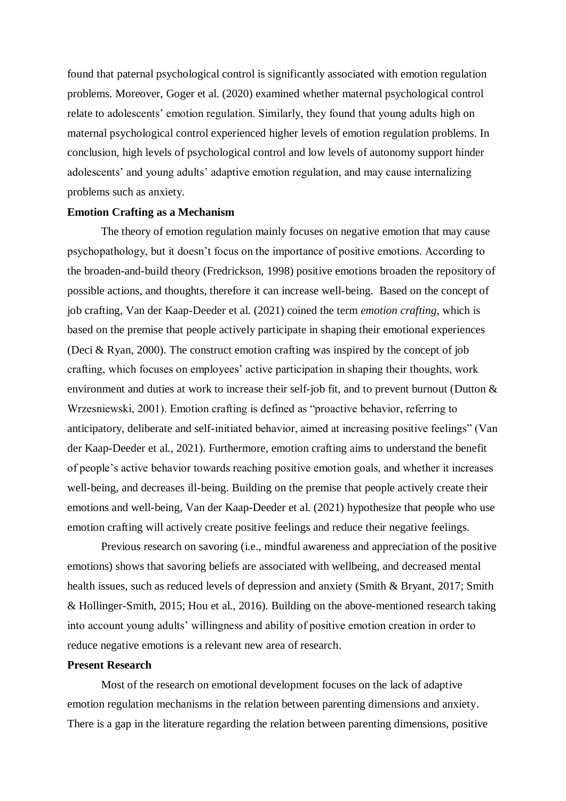found that paternal psychological control is significantly associated with emotion regulation problems. Moreover, Goger et al. (2020) examined whether maternal psychological control relate to adolescents' emotion regulation. Similarly, they found that young adults high on maternal psychological control experienced higher levels of emotion regulation problems. In conclusion, high levels of psychological control and low levels of autonomy support hinder adolescents' and young adults' adaptive emotion regulation, and may cause internalizing problems such as anxiety.

#### **Emotion Crafting as a Mechanism**

The theory of emotion regulation mainly focuses on negative emotion that may cause psychopathology, but it doesn't focus on the importance of positive emotions. According to the broaden-and-build theory (Fredrickson, 1998) positive emotions broaden the repository of possible actions, and thoughts, therefore it can increase well-being. Based on the concept of job crafting, Van der Kaap-Deeder et al. (2021) coined the term *emotion crafting*, which is based on the premise that people actively participate in shaping their emotional experiences (Deci & Ryan, 2000). The construct emotion crafting was inspired by the concept of job crafting, which focuses on employees' active participation in shaping their thoughts, work environment and duties at work to increase their self-job fit, and to prevent burnout (Dutton & Wrzesniewski, 2001). Emotion crafting is defined as "proactive behavior, referring to anticipatory, deliberate and self-initiated behavior, aimed at increasing positive feelings" (Van der Kaap-Deeder et al., 2021). Furthermore, emotion crafting aims to understand the benefit of people's active behavior towards reaching positive emotion goals, and whether it increases well-being, and decreases ill-being. Building on the premise that people actively create their emotions and well-being, Van der Kaap-Deeder et al. (2021) hypothesize that people who use emotion crafting will actively create positive feelings and reduce their negative feelings.

Previous research on savoring (i.e., mindful awareness and appreciation of the positive emotions) shows that savoring beliefs are associated with wellbeing, and decreased mental health issues, such as reduced levels of depression and anxiety (Smith & Bryant, 2017; Smith & Hollinger-Smith, 2015; Hou et al., 2016). Building on the above-mentioned research taking into account young adults' willingness and ability of positive emotion creation in order to reduce negative emotions is a relevant new area of research.

#### **Present Research**

Most of the research on emotional development focuses on the lack of adaptive emotion regulation mechanisms in the relation between parenting dimensions and anxiety. There is a gap in the literature regarding the relation between parenting dimensions, positive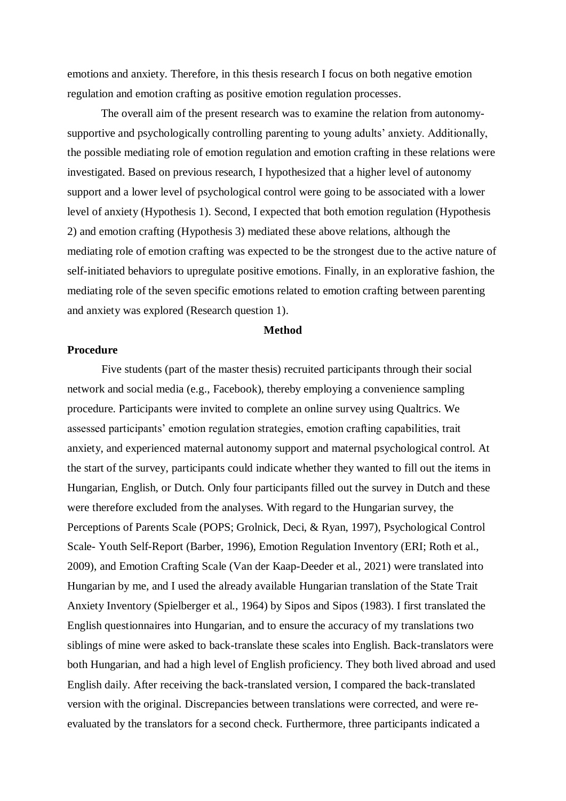emotions and anxiety. Therefore, in this thesis research I focus on both negative emotion regulation and emotion crafting as positive emotion regulation processes.

The overall aim of the present research was to examine the relation from autonomysupportive and psychologically controlling parenting to young adults' anxiety. Additionally, the possible mediating role of emotion regulation and emotion crafting in these relations were investigated. Based on previous research, I hypothesized that a higher level of autonomy support and a lower level of psychological control were going to be associated with a lower level of anxiety (Hypothesis 1). Second, I expected that both emotion regulation (Hypothesis 2) and emotion crafting (Hypothesis 3) mediated these above relations, although the mediating role of emotion crafting was expected to be the strongest due to the active nature of self-initiated behaviors to upregulate positive emotions. Finally, in an explorative fashion, the mediating role of the seven specific emotions related to emotion crafting between parenting and anxiety was explored (Research question 1).

#### **Method**

#### **Procedure**

Five students (part of the master thesis) recruited participants through their social network and social media (e.g., Facebook), thereby employing a convenience sampling procedure. Participants were invited to complete an online survey using Qualtrics. We assessed participants' emotion regulation strategies, emotion crafting capabilities, trait anxiety, and experienced maternal autonomy support and maternal psychological control. At the start of the survey, participants could indicate whether they wanted to fill out the items in Hungarian, English, or Dutch. Only four participants filled out the survey in Dutch and these were therefore excluded from the analyses. With regard to the Hungarian survey, the Perceptions of Parents Scale (POPS; Grolnick, Deci, & Ryan, 1997), Psychological Control Scale- Youth Self-Report (Barber, 1996), Emotion Regulation Inventory (ERI; Roth et al., 2009), and Emotion Crafting Scale (Van der Kaap-Deeder et al., 2021) were translated into Hungarian by me, and I used the already available Hungarian translation of the State Trait Anxiety Inventory (Spielberger et al., 1964) by Sipos and Sipos (1983). I first translated the English questionnaires into Hungarian, and to ensure the accuracy of my translations two siblings of mine were asked to back-translate these scales into English. Back-translators were both Hungarian, and had a high level of English proficiency. They both lived abroad and used English daily. After receiving the back-translated version, I compared the back-translated version with the original. Discrepancies between translations were corrected, and were reevaluated by the translators for a second check. Furthermore, three participants indicated a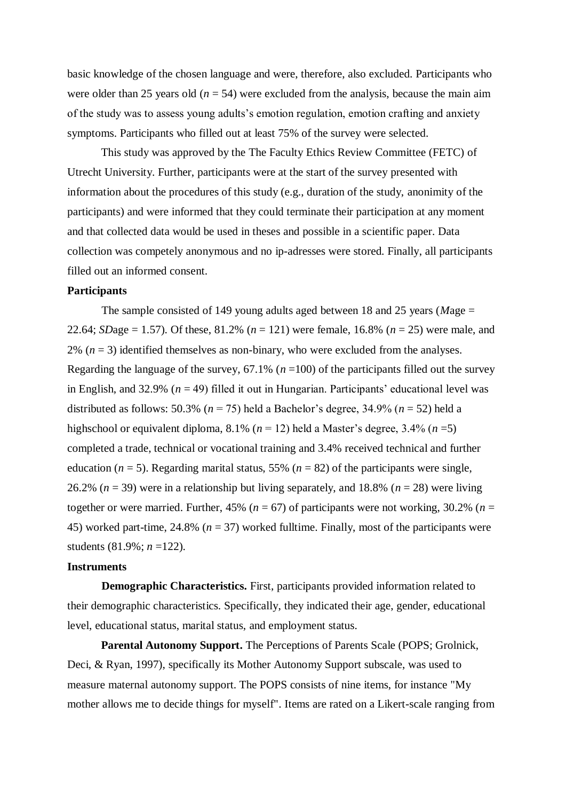basic knowledge of the chosen language and were, therefore, also excluded. Participants who were older than 25 years old  $(n = 54)$  were excluded from the analysis, because the main aim of the study was to assess young adults's emotion regulation, emotion crafting and anxiety symptoms. Participants who filled out at least 75% of the survey were selected.

This study was approved by the The Faculty Ethics Review Committee (FETC) of Utrecht University. Further, participants were at the start of the survey presented with information about the procedures of this study (e.g., duration of the study, anonimity of the participants) and were informed that they could terminate their participation at any moment and that collected data would be used in theses and possible in a scientific paper. Data collection was competely anonymous and no ip-adresses were stored. Finally, all participants filled out an informed consent.

#### **Participants**

The sample consisted of 149 young adults aged between 18 and 25 years (*M*age = 22.64; *SDage* = 1.57). Of these, 81.2% ( $n = 121$ ) were female, 16.8% ( $n = 25$ ) were male, and  $2\%$   $(n = 3)$  identified themselves as non-binary, who were excluded from the analyses. Regarding the language of the survey,  $67.1\%$  ( $n = 100$ ) of the participants filled out the survey in English, and 32.9% ( $n = 49$ ) filled it out in Hungarian. Participants' educational level was distributed as follows: 50.3% ( $n = 75$ ) held a Bachelor's degree, 34.9% ( $n = 52$ ) held a highschool or equivalent diploma, 8.1% (*n* = 12) held a Master's degree, 3.4% (*n* =5) completed a trade, technical or vocational training and 3.4% received technical and further education ( $n = 5$ ). Regarding marital status, 55% ( $n = 82$ ) of the participants were single, 26.2% ( $n = 39$ ) were in a relationship but living separately, and 18.8% ( $n = 28$ ) were living together or were married. Further, 45% ( $n = 67$ ) of participants were not working, 30.2% ( $n =$ 45) worked part-time, 24.8% (*n* = 37) worked fulltime. Finally, most of the participants were students (81.9%; *n* =122).

#### **Instruments**

**Demographic Characteristics.** First, participants provided information related to their demographic characteristics. Specifically, they indicated their age, gender, educational level, educational status, marital status, and employment status.

**Parental Autonomy Support.** The Perceptions of Parents Scale (POPS; Grolnick, Deci, & Ryan, 1997), specifically its Mother Autonomy Support subscale, was used to measure maternal autonomy support. The POPS consists of nine items, for instance "My mother allows me to decide things for myself". Items are rated on a Likert-scale ranging from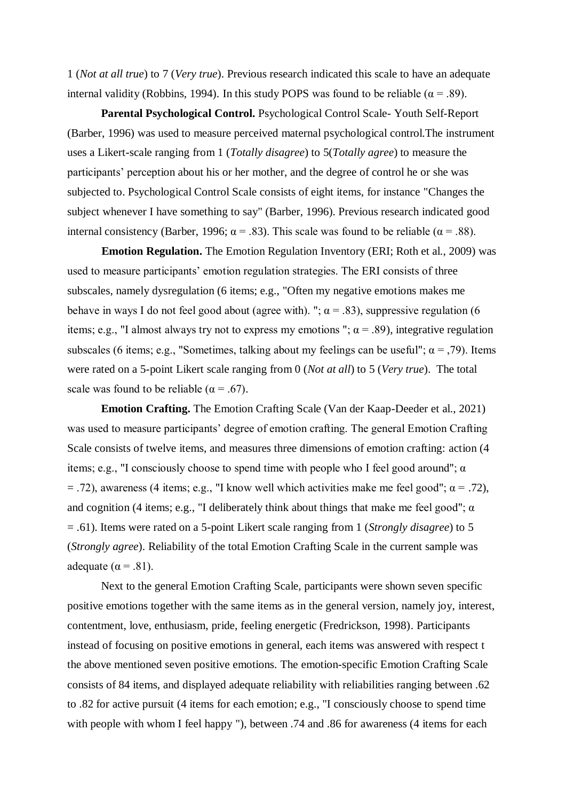1 (*Not at all true*) to 7 (*Very true*). Previous research indicated this scale to have an adequate internal validity (Robbins, 1994). In this study POPS was found to be reliable ( $\alpha = .89$ ).

**Parental Psychological Control.** Psychological Control Scale- Youth Self-Report (Barber, 1996) was used to measure perceived maternal psychological control.The instrument uses a Likert-scale ranging from 1 (*Totally disagree*) to 5(*Totally agree*) to measure the participants' perception about his or her mother, and the degree of control he or she was subjected to. Psychological Control Scale consists of eight items, for instance "Changes the subject whenever I have something to say" (Barber, 1996). Previous research indicated good internal consistency (Barber, 1996;  $\alpha$  = .83). This scale was found to be reliable ( $\alpha$  = .88).

**Emotion Regulation.** The Emotion Regulation Inventory (ERI; Roth et al., 2009) was used to measure participants' emotion regulation strategies. The ERI consists of three subscales, namely dysregulation (6 items; e.g., "Often my negative emotions makes me behave in ways I do not feel good about (agree with). ";  $\alpha$  = .83), suppressive regulation (6 items; e.g., "I almost always try not to express my emotions ";  $\alpha$  = .89), integrative regulation subscales (6 items; e.g., "Sometimes, talking about my feelings can be useful";  $\alpha = 0.79$ ). Items were rated on a 5-point Likert scale ranging from 0 (*Not at all*) to 5 (*Very true*). The total scale was found to be reliable ( $\alpha$  = .67).

**Emotion Crafting.** The Emotion Crafting Scale (Van der Kaap-Deeder et al., 2021) was used to measure participants' degree of emotion crafting. The general Emotion Crafting Scale consists of twelve items, and measures three dimensions of emotion crafting: action (4 items; e.g., "I consciously choose to spend time with people who I feel good around";  $\alpha$  $=$  .72), awareness (4 items; e.g., "I know well which activities make me feel good";  $\alpha =$  .72), and cognition (4 items; e.g., "I deliberately think about things that make me feel good";  $\alpha$ = .61). Items were rated on a 5-point Likert scale ranging from 1 (*Strongly disagree*) to 5 (*Strongly agree*). Reliability of the total Emotion Crafting Scale in the current sample was adequate ( $\alpha = .81$ ).

Next to the general Emotion Crafting Scale, participants were shown seven specific positive emotions together with the same items as in the general version, namely joy, interest, contentment, love, enthusiasm, pride, feeling energetic (Fredrickson, 1998). Participants instead of focusing on positive emotions in general, each items was answered with respect t the above mentioned seven positive emotions. The emotion-specific Emotion Crafting Scale consists of 84 items, and displayed adequate reliability with reliabilities ranging between .62 to .82 for active pursuit (4 items for each emotion; e.g., "I consciously choose to spend time with people with whom I feel happy "), between .74 and .86 for awareness (4 items for each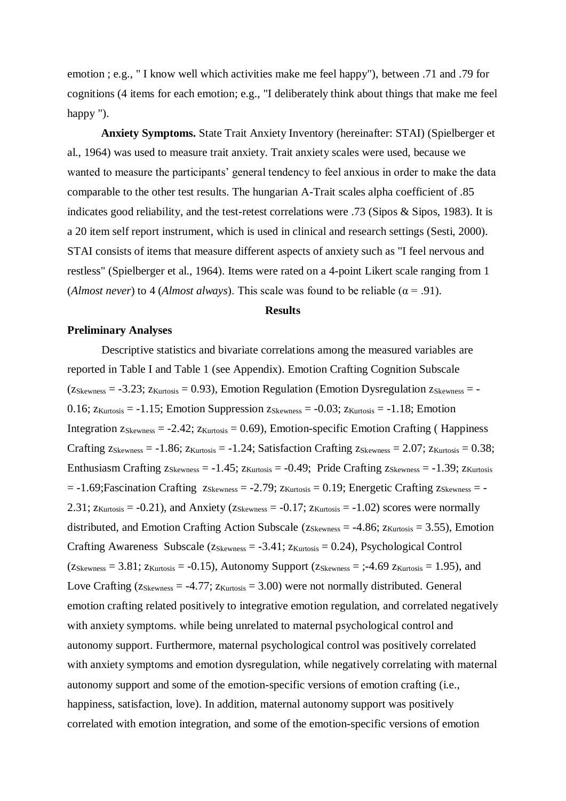emotion ; e.g., " I know well which activities make me feel happy"), between .71 and .79 for cognitions (4 items for each emotion; e.g., "I deliberately think about things that make me feel happy ").

**Anxiety Symptoms.** State Trait Anxiety Inventory (hereinafter: STAI) (Spielberger et al., 1964) was used to measure trait anxiety. Trait anxiety scales were used, because we wanted to measure the participants' general tendency to feel anxious in order to make the data comparable to the other test results. The hungarian A-Trait scales alpha coefficient of .85 indicates good reliability, and the test-retest correlations were .73 (Sipos & Sipos, 1983). It is a 20 item self report instrument, which is used in clinical and research settings (Sesti, 2000). STAI consists of items that measure different aspects of anxiety such as "I feel nervous and restless" (Spielberger et al., 1964). Items were rated on a 4-point Likert scale ranging from 1 (*Almost never*) to 4 (*Almost always*). This scale was found to be reliable ( $\alpha$  = .91).

#### **Results**

#### **Preliminary Analyses**

Descriptive statistics and bivariate correlations among the measured variables are reported in Table I and Table 1 (see Appendix). Emotion Crafting Cognition Subscale  $(z_{Skewness} = -3.23; z_{Kurtosis} = 0.93)$ , Emotion Regulation (Emotion Dysregulation  $z_{Skewness} = -$ 0.16;  $z_{Kurtosis} = -1.15$ ; Emotion Suppression  $z_{Skewness} = -0.03$ ;  $z_{Kurtosis} = -1.18$ ; Emotion Integration  $z_{Skewness} = -2.42$ ;  $z_{Kurtosis} = 0.69$ ), Emotion-specific Emotion Crafting (Happiness Crafting  $z_{Skewness} = -1.86$ ;  $z_{Kurtosis} = -1.24$ ; Satisfaction Crafting  $z_{Skewness} = 2.07$ ;  $z_{Kurtosis} = 0.38$ ; Enthusiasm Crafting  $z_{Skewness} = -1.45$ ;  $z_{Kurtosis} = -0.49$ ; Pride Crafting  $z_{Skewness} = -1.39$ ;  $z_{Kurtosis}$  $= -1.69$ ; Fascination Crafting  $z_{Skewness} = -2.79$ ;  $z_{Kurtosis} = 0.19$ ; Energetic Crafting  $z_{Skewness} = -1.69$ 2.31;  $z_{\text{Kurtosis}} = -0.21$ ), and Anxiety ( $z_{\text{Skewness}} = -0.17$ ;  $z_{\text{Kurtosis}} = -1.02$ ) scores were normally distributed, and Emotion Crafting Action Subscale ( $z_{Skewness} = -4.86$ ;  $z_{Kurtosis} = 3.55$ ), Emotion Crafting Awareness Subscale ( $z_{Skewness} = -3.41$ ;  $z_{Kurtosis} = 0.24$ ), Psychological Control  $(Z_{Skewness} = 3.81; Z_{Kurtosis} = -0.15)$ , Autonomy Support  $(Z_{Skewness} = -1.69 Z_{Kurtosis} = 1.95)$ , and Love Crafting ( $z_{Skewness} = -4.77$ ;  $z_{Kurtosis} = 3.00$ ) were not normally distributed. General emotion crafting related positively to integrative emotion regulation, and correlated negatively with anxiety symptoms. while being unrelated to maternal psychological control and autonomy support. Furthermore, maternal psychological control was positively correlated with anxiety symptoms and emotion dysregulation, while negatively correlating with maternal autonomy support and some of the emotion-specific versions of emotion crafting (i.e., happiness, satisfaction, love). In addition, maternal autonomy support was positively correlated with emotion integration, and some of the emotion-specific versions of emotion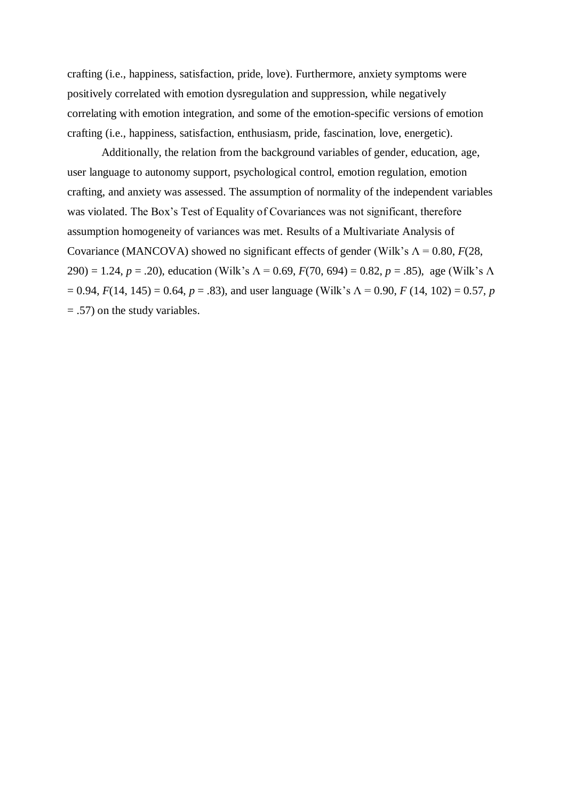crafting (i.e., happiness, satisfaction, pride, love). Furthermore, anxiety symptoms were positively correlated with emotion dysregulation and suppression, while negatively correlating with emotion integration, and some of the emotion-specific versions of emotion crafting (i.e., happiness, satisfaction, enthusiasm, pride, fascination, love, energetic).

Additionally, the relation from the background variables of gender, education, age, user language to autonomy support, psychological control, emotion regulation, emotion crafting, and anxiety was assessed. The assumption of normality of the independent variables was violated. The Box's Test of Equality of Covariances was not significant, therefore assumption homogeneity of variances was met. Results of a Multivariate Analysis of Covariance (MANCOVA) showed no significant effects of gender (Wilk's  $\Lambda = 0.80$ , *F*(28, 290) = 1.24, *p* = .20), education (Wilk's Λ = 0.69, *F*(70, 694) = 0.82, *p* = .85), age (Wilk's Λ  $= 0.94$ ,  $F(14, 145) = 0.64$ ,  $p = .83$ ), and user language (Wilk's  $\Lambda = 0.90$ ,  $F(14, 102) = 0.57$ , *p* = .57) on the study variables.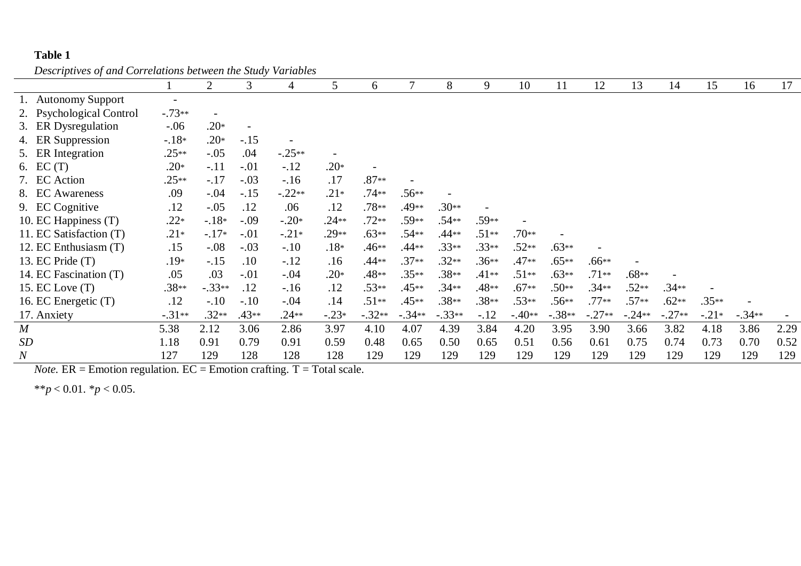### **Table 1**

*Descriptives of and Correlations between the Study Variables*

| $\overline{\phantom{a}}$ |                          |                |         |          |                          |          |          |          |         |          |          |          |          |          |         |          |      |
|--------------------------|--------------------------|----------------|---------|----------|--------------------------|----------|----------|----------|---------|----------|----------|----------|----------|----------|---------|----------|------|
|                          |                          | $\overline{2}$ | 3       | 4        | 5                        | 6        | 7        | 8        | 9       | 10       | 11       | 12       | 13       | 14       | 15      | 16       | 17   |
| 1. Autonomy Support      | $\overline{\phantom{0}}$ |                |         |          |                          |          |          |          |         |          |          |          |          |          |         |          |      |
| 2. Psychological Control | $-.73**$                 |                |         |          |                          |          |          |          |         |          |          |          |          |          |         |          |      |
| 3. ER Dysregulation      | $-.06$                   | $.20*$         |         |          |                          |          |          |          |         |          |          |          |          |          |         |          |      |
| 4. ER Suppression        | $-18*$                   | $.20*$         | $-.15$  |          |                          |          |          |          |         |          |          |          |          |          |         |          |      |
| 5. ER Integration        | $.25**$                  | $-.05$         | .04     | $-.25**$ | $\overline{\phantom{a}}$ |          |          |          |         |          |          |          |          |          |         |          |      |
| 6. $EC(T)$               | $.20*$                   | $-.11$         | $-.01$  | $-.12$   | $.20*$                   |          |          |          |         |          |          |          |          |          |         |          |      |
| 7. EC Action             | $.25**$                  | $-.17$         | $-.03$  | $-.16$   | .17                      | $.87**$  |          |          |         |          |          |          |          |          |         |          |      |
| 8. EC Awareness          | .09                      | $-.04$         | $-.15$  | $-.22**$ | $.21*$                   | $.74**$  | $.56**$  |          |         |          |          |          |          |          |         |          |      |
| 9. EC Cognitive          | .12                      | $-.05$         | .12     | .06      | .12                      | $.78**$  | .49**    | $.30**$  |         |          |          |          |          |          |         |          |      |
| 10. EC Happiness (T)     | $.22*$                   | $-.18*$        | $-.09$  | $-.20*$  | $.24**$                  | $.72**$  | .59**    | $.54**$  | .59**   |          |          |          |          |          |         |          |      |
| 11. EC Satisfaction (T)  | $.21*$                   | $-.17*$        | $-.01$  | $-.21*$  | $.29**$                  | $.63**$  | $.54**$  | .44**    | $.51**$ | $.70**$  |          |          |          |          |         |          |      |
| 12. EC Enthusiasm (T)    | .15                      | $-.08$         | $-.03$  | $-.10$   | $.18*$                   | $.46**$  | .44**    | $.33**$  | $.33**$ | $.52**$  | $.63**$  |          |          |          |         |          |      |
| 13. EC Pride (T)         | $.19*$                   | $-.15$         | .10     | $-.12$   | .16                      | .44**    | $.37**$  | $.32**$  | $.36**$ | .47**    | $.65**$  | $.66**$  |          |          |         |          |      |
| 14. EC Fascination (T)   | .05                      | .03            | $-.01$  | $-.04$   | $.20*$                   | .48**    | $.35**$  | $.38**$  | $.41**$ | $.51**$  | $.63**$  | $.71**$  | $.68**$  |          |         |          |      |
| 15. EC Love (T)          | $.38**$                  | $-.33**$       | .12     | $-.16$   | .12                      | $.53**$  | $.45**$  | $.34**$  | .48**   | $.67**$  | $.50**$  | $.34**$  | $.52**$  | $.34**$  |         |          |      |
| 16. EC Energetic (T)     | .12                      | $-.10$         | $-.10$  | $-.04$   | .14                      | $.51**$  | $.45**$  | $.38**$  | $.38**$ | $.53**$  | .56**    | $.77**$  | $.57**$  | $.62**$  | $.35**$ |          |      |
| 17. Anxiety              | $-.31**$                 | $.32**$        | $.43**$ | $.24**$  | $-.23*$                  | $-.32**$ | $-.34**$ | $-.33**$ | $-.12$  | $-.40**$ | $-.38**$ | $-.27**$ | $-.24**$ | $-.27**$ | $-.21*$ | $-.34**$ |      |
| $\boldsymbol{M}$         | 5.38                     | 2.12           | 3.06    | 2.86     | 3.97                     | 4.10     | 4.07     | 4.39     | 3.84    | 4.20     | 3.95     | 3.90     | 3.66     | 3.82     | 4.18    | 3.86     | 2.29 |
| SD                       | 1.18                     | 0.91           | 0.79    | 0.91     | 0.59                     | 0.48     | 0.65     | 0.50     | 0.65    | 0.51     | 0.56     | 0.61     | 0.75     | 0.74     | 0.73    | 0.70     | 0.52 |
| $\boldsymbol{N}$         | 127                      | 129            | 128     | 128      | 128                      | 129      | 129      | 129      | 129     | 129      | 129      | 129      | 129      | 129      | 129     | 129      | 129  |

*Note.*  $ER =$  Emotion regulation.  $EC =$  Emotion crafting.  $T =$  Total scale.

\*\**p* < 0.01. \**p* < 0.05.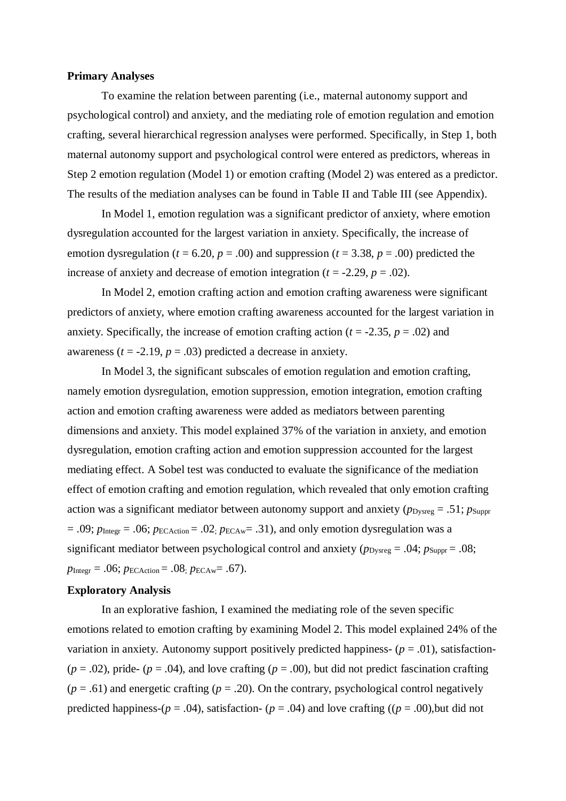#### **Primary Analyses**

To examine the relation between parenting (i.e., maternal autonomy support and psychological control) and anxiety, and the mediating role of emotion regulation and emotion crafting, several hierarchical regression analyses were performed. Specifically, in Step 1, both maternal autonomy support and psychological control were entered as predictors, whereas in Step 2 emotion regulation (Model 1) or emotion crafting (Model 2) was entered as a predictor. The results of the mediation analyses can be found in Table II and Table III (see Appendix).

In Model 1, emotion regulation was a significant predictor of anxiety, where emotion dysregulation accounted for the largest variation in anxiety. Specifically, the increase of emotion dysregulation ( $t = 6.20$ ,  $p = .00$ ) and suppression ( $t = 3.38$ ,  $p = .00$ ) predicted the increase of anxiety and decrease of emotion integration ( $t = -2.29$ ,  $p = .02$ ).

In Model 2, emotion crafting action and emotion crafting awareness were significant predictors of anxiety, where emotion crafting awareness accounted for the largest variation in anxiety. Specifically, the increase of emotion crafting action  $(t = -2.35, p = .02)$  and awareness  $(t = -2.19, p = .03)$  predicted a decrease in anxiety.

In Model 3, the significant subscales of emotion regulation and emotion crafting, namely emotion dysregulation, emotion suppression, emotion integration, emotion crafting action and emotion crafting awareness were added as mediators between parenting dimensions and anxiety. This model explained 37% of the variation in anxiety, and emotion dysregulation, emotion crafting action and emotion suppression accounted for the largest mediating effect. A Sobel test was conducted to evaluate the significance of the mediation effect of emotion crafting and emotion regulation, which revealed that only emotion crafting action was a significant mediator between autonomy support and anxiety ( $p_{\text{Dvsreg}} = .51$ ;  $p_{\text{Suppr}}$  $= .09$ ;  $p_{\text{Integer}} = .06$ ;  $p_{\text{ECAction}} = .02$ ;  $p_{\text{ECAw}} = .31$ ), and only emotion dysregulation was a significant mediator between psychological control and anxiety ( $p_{\text{Dvsreg}} = .04$ ;  $p_{\text{Suppr}} = .08$ ;  $p_{\text{Integer}} = .06$ ;  $p_{\text{ECAction}} = .08$ ;  $p_{\text{ECAw}} = .67$ ).

#### **Exploratory Analysis**

In an explorative fashion, I examined the mediating role of the seven specific emotions related to emotion crafting by examining Model 2. This model explained 24% of the variation in anxiety. Autonomy support positively predicted happiness-  $(p = .01)$ , satisfaction- $(p = .02)$ , pride-  $(p = .04)$ , and love crafting  $(p = .00)$ , but did not predict fascination crafting  $(p = .61)$  and energetic crafting  $(p = .20)$ . On the contrary, psychological control negatively predicted happiness- $(p = .04)$ , satisfaction- $(p = .04)$  and love crafting  $((p = .00)$ , but did not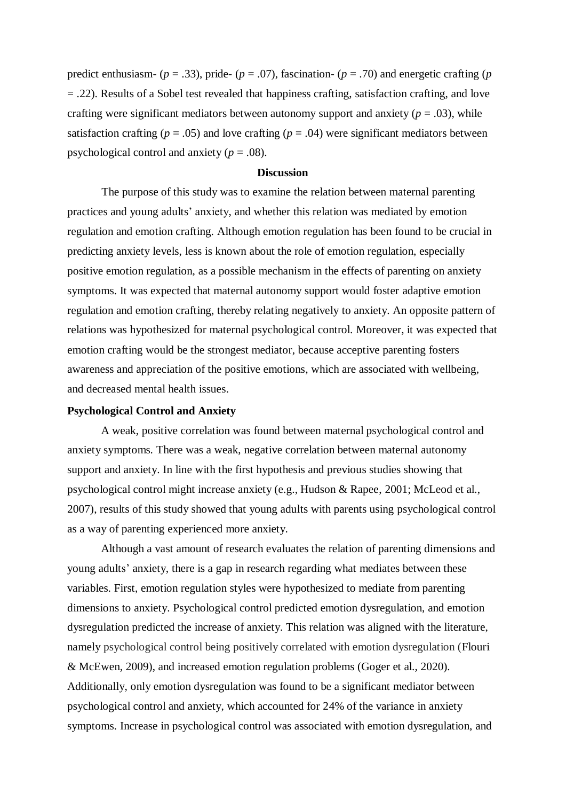predict enthusiasm-  $(p = .33)$ , pride-  $(p = .07)$ , fascination-  $(p = .70)$  and energetic crafting  $(p = .70)$ = .22). Results of a Sobel test revealed that happiness crafting, satisfaction crafting, and love crafting were significant mediators between autonomy support and anxiety ( $p = .03$ ), while satisfaction crafting ( $p = .05$ ) and love crafting ( $p = .04$ ) were significant mediators between psychological control and anxiety ( $p = .08$ ).

#### **Discussion**

The purpose of this study was to examine the relation between maternal parenting practices and young adults' anxiety, and whether this relation was mediated by emotion regulation and emotion crafting. Although emotion regulation has been found to be crucial in predicting anxiety levels, less is known about the role of emotion regulation, especially positive emotion regulation, as a possible mechanism in the effects of parenting on anxiety symptoms. It was expected that maternal autonomy support would foster adaptive emotion regulation and emotion crafting, thereby relating negatively to anxiety. An opposite pattern of relations was hypothesized for maternal psychological control. Moreover, it was expected that emotion crafting would be the strongest mediator, because acceptive parenting fosters awareness and appreciation of the positive emotions, which are associated with wellbeing, and decreased mental health issues.

#### **Psychological Control and Anxiety**

A weak, positive correlation was found between maternal psychological control and anxiety symptoms. There was a weak, negative correlation between maternal autonomy support and anxiety. In line with the first hypothesis and previous studies showing that psychological control might increase anxiety (e.g., Hudson & Rapee, 2001; McLeod et al., 2007), results of this study showed that young adults with parents using psychological control as a way of parenting experienced more anxiety.

Although a vast amount of research evaluates the relation of parenting dimensions and young adults' anxiety, there is a gap in research regarding what mediates between these variables. First, emotion regulation styles were hypothesized to mediate from parenting dimensions to anxiety. Psychological control predicted emotion dysregulation, and emotion dysregulation predicted the increase of anxiety. This relation was aligned with the literature, namely psychological control being positively correlated with emotion dysregulation (Flouri & McEwen, 2009), and increased emotion regulation problems (Goger et al., 2020). Additionally, only emotion dysregulation was found to be a significant mediator between psychological control and anxiety, which accounted for 24% of the variance in anxiety symptoms. Increase in psychological control was associated with emotion dysregulation, and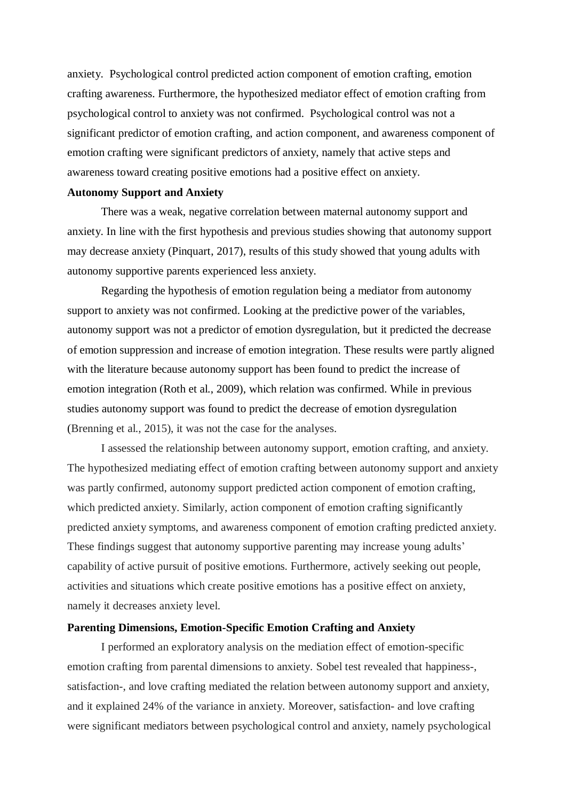anxiety. Psychological control predicted action component of emotion crafting, emotion crafting awareness. Furthermore, the hypothesized mediator effect of emotion crafting from psychological control to anxiety was not confirmed. Psychological control was not a significant predictor of emotion crafting, and action component, and awareness component of emotion crafting were significant predictors of anxiety, namely that active steps and awareness toward creating positive emotions had a positive effect on anxiety.

#### **Autonomy Support and Anxiety**

There was a weak, negative correlation between maternal autonomy support and anxiety. In line with the first hypothesis and previous studies showing that autonomy support may decrease anxiety (Pinquart, 2017), results of this study showed that young adults with autonomy supportive parents experienced less anxiety.

Regarding the hypothesis of emotion regulation being a mediator from autonomy support to anxiety was not confirmed. Looking at the predictive power of the variables, autonomy support was not a predictor of emotion dysregulation, but it predicted the decrease of emotion suppression and increase of emotion integration. These results were partly aligned with the literature because autonomy support has been found to predict the increase of emotion integration (Roth et al., 2009), which relation was confirmed. While in previous studies autonomy support was found to predict the decrease of emotion dysregulation (Brenning et al., 2015), it was not the case for the analyses.

I assessed the relationship between autonomy support, emotion crafting, and anxiety. The hypothesized mediating effect of emotion crafting between autonomy support and anxiety was partly confirmed, autonomy support predicted action component of emotion crafting, which predicted anxiety. Similarly, action component of emotion crafting significantly predicted anxiety symptoms, and awareness component of emotion crafting predicted anxiety. These findings suggest that autonomy supportive parenting may increase young adults' capability of active pursuit of positive emotions. Furthermore, actively seeking out people, activities and situations which create positive emotions has a positive effect on anxiety, namely it decreases anxiety level.

#### **Parenting Dimensions, Emotion-Specific Emotion Crafting and Anxiety**

I performed an exploratory analysis on the mediation effect of emotion-specific emotion crafting from parental dimensions to anxiety. Sobel test revealed that happiness-, satisfaction-, and love crafting mediated the relation between autonomy support and anxiety, and it explained 24% of the variance in anxiety. Moreover, satisfaction- and love crafting were significant mediators between psychological control and anxiety, namely psychological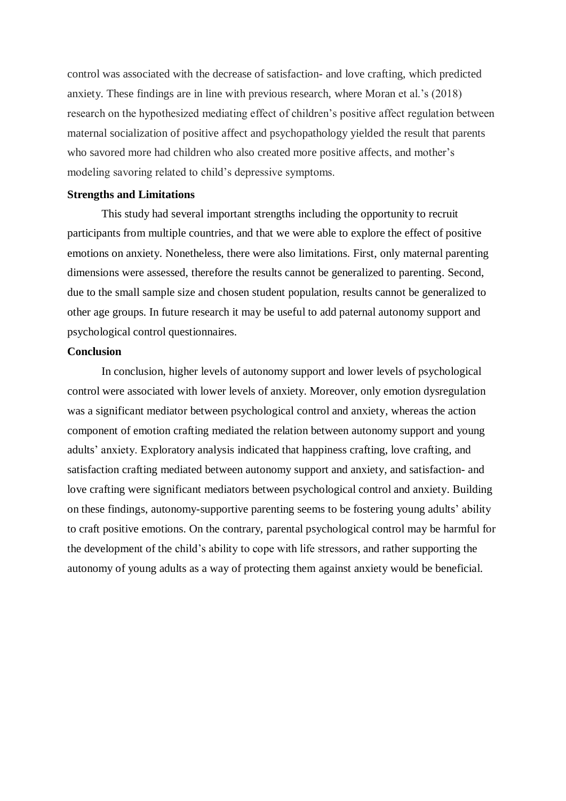control was associated with the decrease of satisfaction- and love crafting, which predicted anxiety. These findings are in line with previous research, where Moran et al.'s (2018) research on the hypothesized mediating effect of children's positive affect regulation between maternal socialization of positive affect and psychopathology yielded the result that parents who savored more had children who also created more positive affects, and mother's modeling savoring related to child's depressive symptoms.

#### **Strengths and Limitations**

This study had several important strengths including the opportunity to recruit participants from multiple countries, and that we were able to explore the effect of positive emotions on anxiety. Nonetheless, there were also limitations. First, only maternal parenting dimensions were assessed, therefore the results cannot be generalized to parenting. Second, due to the small sample size and chosen student population, results cannot be generalized to other age groups. In future research it may be useful to add paternal autonomy support and psychological control questionnaires.

#### **Conclusion**

In conclusion, higher levels of autonomy support and lower levels of psychological control were associated with lower levels of anxiety. Moreover, only emotion dysregulation was a significant mediator between psychological control and anxiety, whereas the action component of emotion crafting mediated the relation between autonomy support and young adults' anxiety. Exploratory analysis indicated that happiness crafting, love crafting, and satisfaction crafting mediated between autonomy support and anxiety, and satisfaction- and love crafting were significant mediators between psychological control and anxiety. Building on these findings, autonomy-supportive parenting seems to be fostering young adults' ability to craft positive emotions. On the contrary, parental psychological control may be harmful for the development of the child's ability to cope with life stressors, and rather supporting the autonomy of young adults as a way of protecting them against anxiety would be beneficial.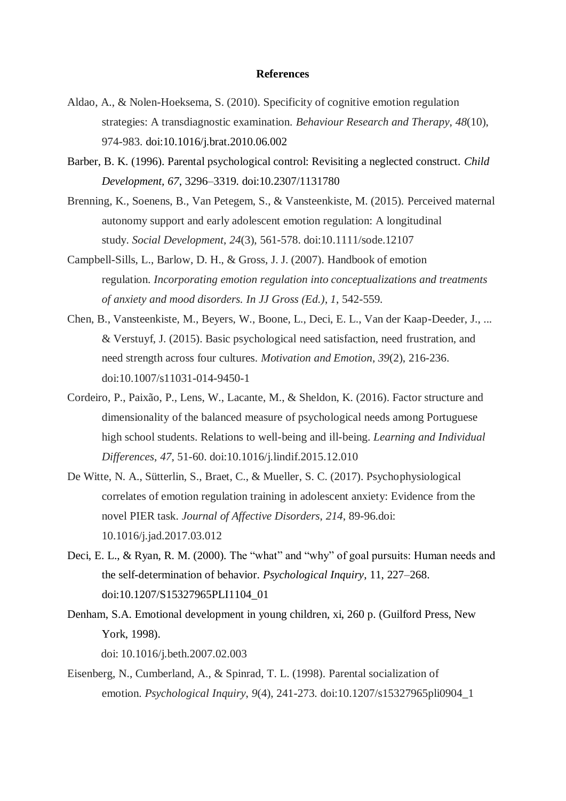#### **References**

- Aldao, A., & Nolen-Hoeksema, S. (2010). Specificity of cognitive emotion regulation strategies: A transdiagnostic examination. *Behaviour Research and Therapy*, *48*(10), 974-983. doi:10.1016/j.brat.2010.06.002
- Barber, B. K. (1996). Parental psychological control: Revisiting a neglected construct. *Child Development, 67*, 3296–3319. doi:10.2307/1131780
- Brenning, K., Soenens, B., Van Petegem, S., & Vansteenkiste, M. (2015). Perceived maternal autonomy support and early adolescent emotion regulation: A longitudinal study. *Social Development*, *24*(3), 561-578. doi:10.1111/sode.12107
- Campbell-Sills, L., Barlow, D. H., & Gross, J. J. (2007). Handbook of emotion regulation. *Incorporating emotion regulation into conceptualizations and treatments of anxiety and mood disorders. In JJ Gross (Ed.)*, *1*, 542-559.
- Chen, B., Vansteenkiste, M., Beyers, W., Boone, L., Deci, E. L., Van der Kaap-Deeder, J., ... & Verstuyf, J. (2015). Basic psychological need satisfaction, need frustration, and need strength across four cultures. *Motivation and Emotion*, *39*(2), 216-236. doi:10.1007/s11031-014-9450-1
- Cordeiro, P., Paixão, P., Lens, W., Lacante, M., & Sheldon, K. (2016). Factor structure and dimensionality of the balanced measure of psychological needs among Portuguese high school students. Relations to well-being and ill-being. *Learning and Individual Differences*, *47*, 51-60. doi:10.1016/j.lindif.2015.12.010
- De Witte, N. A., Sütterlin, S., Braet, C., & Mueller, S. C. (2017). Psychophysiological correlates of emotion regulation training in adolescent anxiety: Evidence from the novel PIER task. *Journal of Affective Disorders*, *214*, 89-96.doi: 10.1016/j.jad.2017.03.012
- Deci, E. L., & Ryan, R. M. (2000). The "what" and "why" of goal pursuits: Human needs and the self-determination of behavior. *Psychological Inquiry*, 11, 227–268. doi:10.1207/S15327965PLI1104\_01
- Denham, S.A. Emotional development in young children, xi, 260 p. (Guilford Press, New York, 1998). doi: 10.1016/j.beth.2007.02.003
- Eisenberg, N., Cumberland, A., & Spinrad, T. L. (1998). Parental socialization of emotion. *Psychological Inquiry*, *9*(4), 241-273. doi:10.1207/s15327965pli0904\_1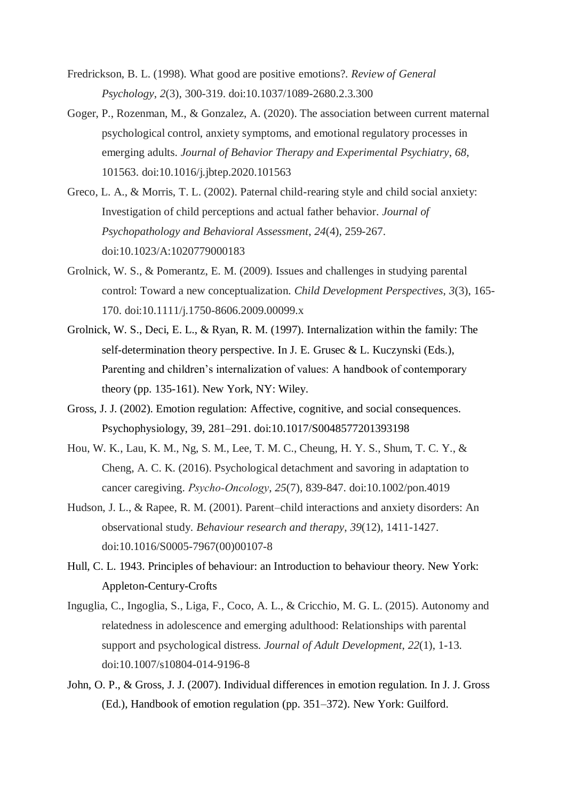- Fredrickson, B. L. (1998). What good are positive emotions?. *Review of General Psychology*, *2*(3), 300-319. doi:10.1037/1089-2680.2.3.300
- Goger, P., Rozenman, M., & Gonzalez, A. (2020). The association between current maternal psychological control, anxiety symptoms, and emotional regulatory processes in emerging adults. *Journal of Behavior Therapy and Experimental Psychiatry*, *68*, 101563. doi:10.1016/j.jbtep.2020.101563
- Greco, L. A., & Morris, T. L. (2002). Paternal child-rearing style and child social anxiety: Investigation of child perceptions and actual father behavior. *Journal of Psychopathology and Behavioral Assessment*, *24*(4), 259-267. doi:10.1023/A:1020779000183
- Grolnick, W. S., & Pomerantz, E. M. (2009). Issues and challenges in studying parental control: Toward a new conceptualization. *Child Development Perspectives*, *3*(3), 165- 170. doi:10.1111/j.1750-8606.2009.00099.x
- Grolnick, W. S., Deci, E. L., & Ryan, R. M. (1997). Internalization within the family: The self-determination theory perspective. In J. E. Grusec & L. Kuczynski (Eds.), Parenting and children's internalization of values: A handbook of contemporary theory (pp. 135-161). New York, NY: Wiley.
- Gross, J. J. (2002). Emotion regulation: Affective, cognitive, and social consequences. Psychophysiology, 39, 281–291. doi:10.1017/S0048577201393198
- Hou, W. K., Lau, K. M., Ng, S. M., Lee, T. M. C., Cheung, H. Y. S., Shum, T. C. Y., & Cheng, A. C. K. (2016). Psychological detachment and savoring in adaptation to cancer caregiving. *Psycho‐Oncology*, *25*(7), 839-847. doi:10.1002/pon.4019
- Hudson, J. L., & Rapee, R. M. (2001). Parent–child interactions and anxiety disorders: An observational study. *Behaviour research and therapy*, *39*(12), 1411-1427. doi:10.1016/S0005-7967(00)00107-8
- Hull, C. L. 1943. Principles of behaviour: an Introduction to behaviour theory. New York: Appleton-Century-Crofts
- Inguglia, C., Ingoglia, S., Liga, F., Coco, A. L., & Cricchio, M. G. L. (2015). Autonomy and relatedness in adolescence and emerging adulthood: Relationships with parental support and psychological distress. *Journal of Adult Development*, *22*(1), 1-13. doi:10.1007/s10804-014-9196-8
- John, O. P., & Gross, J. J. (2007). Individual differences in emotion regulation. In J. J. Gross (Ed.), Handbook of emotion regulation (pp. 351–372). New York: Guilford.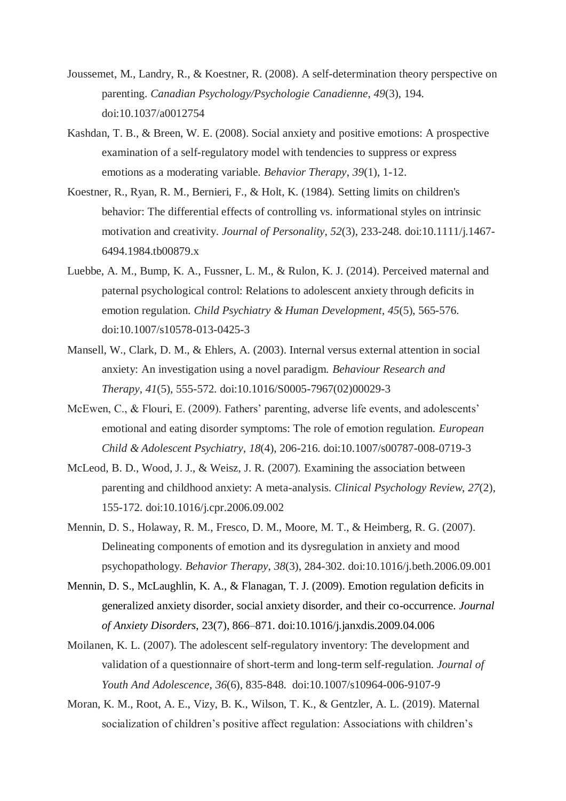- Joussemet, M., Landry, R., & Koestner, R. (2008). A self-determination theory perspective on parenting. *Canadian Psychology/Psychologie Canadienne*, *49*(3), 194. doi:10.1037/a0012754
- Kashdan, T. B., & Breen, W. E. (2008). Social anxiety and positive emotions: A prospective examination of a self-regulatory model with tendencies to suppress or express emotions as a moderating variable. *Behavior Therapy*, *39*(1), 1-12.
- Koestner, R., Ryan, R. M., Bernieri, F., & Holt, K. (1984). Setting limits on children's behavior: The differential effects of controlling vs. informational styles on intrinsic motivation and creativity. *Journal of Personality*, *52*(3), 233-248. doi:10.1111/j.1467- 6494.1984.tb00879.x
- Luebbe, A. M., Bump, K. A., Fussner, L. M., & Rulon, K. J. (2014). Perceived maternal and paternal psychological control: Relations to adolescent anxiety through deficits in emotion regulation. *Child Psychiatry & Human Development*, *45*(5), 565-576. doi:10.1007/s10578-013-0425-3
- Mansell, W., Clark, D. M., & Ehlers, A. (2003). Internal versus external attention in social anxiety: An investigation using a novel paradigm. *Behaviour Research and Therapy*, *41*(5), 555-572. doi:10.1016/S0005-7967(02)00029-3
- McEwen, C., & Flouri, E. (2009). Fathers' parenting, adverse life events, and adolescents' emotional and eating disorder symptoms: The role of emotion regulation. *European Child & Adolescent Psychiatry*, *18*(4), 206-216. doi:10.1007/s00787-008-0719-3
- McLeod, B. D., Wood, J. J., & Weisz, J. R. (2007). Examining the association between parenting and childhood anxiety: A meta-analysis. *Clinical Psychology Review*, *27*(2), 155-172. doi:10.1016/j.cpr.2006.09.002
- Mennin, D. S., Holaway, R. M., Fresco, D. M., Moore, M. T., & Heimberg, R. G. (2007). Delineating components of emotion and its dysregulation in anxiety and mood psychopathology. *Behavior Therapy*, *38*(3), 284-302. doi:10.1016/j.beth.2006.09.001
- Mennin, D. S., McLaughlin, K. A., & Flanagan, T. J. (2009). Emotion regulation deficits in generalized anxiety disorder, social anxiety disorder, and their co-occurrence. *Journal of Anxiety Disorders*, 23(7), 866–871. doi:10.1016/j.janxdis.2009.04.006
- Moilanen, K. L. (2007). The adolescent self-regulatory inventory: The development and validation of a questionnaire of short-term and long-term self-regulation. *Journal of Youth And Adolescence*, *36*(6), 835-848. doi:10.1007/s10964-006-9107-9
- Moran, K. M., Root, A. E., Vizy, B. K., Wilson, T. K., & Gentzler, A. L. (2019). Maternal socialization of children's positive affect regulation: Associations with children's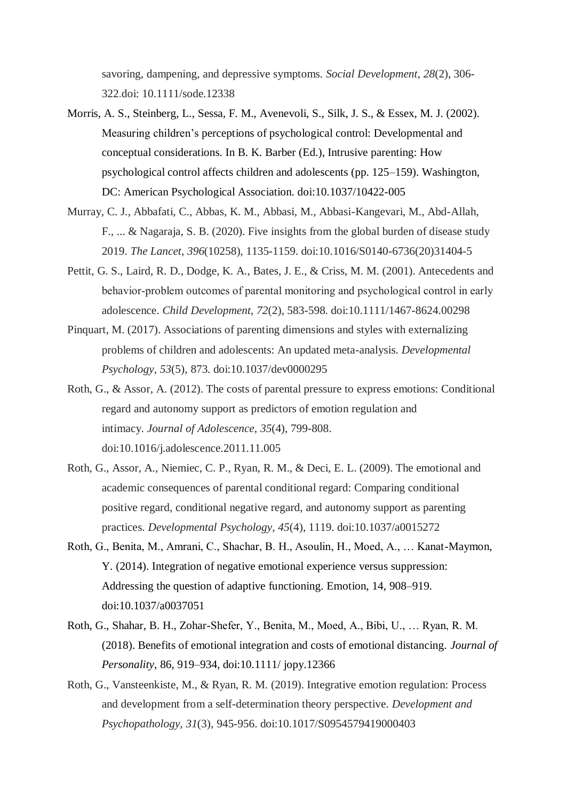savoring, dampening, and depressive symptoms. *Social Development*, *28*(2), 306- 322.doi: 10.1111/sode.12338

- Morris, A. S., Steinberg, L., Sessa, F. M., Avenevoli, S., Silk, J. S., & Essex, M. J. (2002). Measuring children's perceptions of psychological control: Developmental and conceptual considerations. In B. K. Barber (Ed.), Intrusive parenting: How psychological control affects children and adolescents (pp. 125–159). Washington, DC: American Psychological Association. doi:10.1037/10422-005
- Murray, C. J., Abbafati, C., Abbas, K. M., Abbasi, M., Abbasi-Kangevari, M., Abd-Allah, F., ... & Nagaraja, S. B. (2020). Five insights from the global burden of disease study 2019. *The Lancet*, *396*(10258), 1135-1159. doi:10.1016/S0140-6736(20)31404-5
- Pettit, G. S., Laird, R. D., Dodge, K. A., Bates, J. E., & Criss, M. M. (2001). Antecedents and behavior-problem outcomes of parental monitoring and psychological control in early adolescence. *Child Development*, *72*(2), 583-598. doi:10.1111/1467-8624.00298
- Pinquart, M. (2017). Associations of parenting dimensions and styles with externalizing problems of children and adolescents: An updated meta-analysis. *Developmental Psychology*, *53*(5), 873. doi:10.1037/dev0000295
- Roth, G., & Assor, A. (2012). The costs of parental pressure to express emotions: Conditional regard and autonomy support as predictors of emotion regulation and intimacy. *Journal of Adolescence*, *35*(4), 799-808. doi:10.1016/j.adolescence.2011.11.005
- Roth, G., Assor, A., Niemiec, C. P., Ryan, R. M., & Deci, E. L. (2009). The emotional and academic consequences of parental conditional regard: Comparing conditional positive regard, conditional negative regard, and autonomy support as parenting practices. *Developmental Psychology*, *45*(4), 1119. doi:10.1037/a0015272
- Roth, G., Benita, M., Amrani, C., Shachar, B. H., Asoulin, H., Moed, A., … Kanat-Maymon, Y. (2014). Integration of negative emotional experience versus suppression: Addressing the question of adaptive functioning. Emotion, 14, 908–919. doi:10.1037/a0037051
- Roth, G., Shahar, B. H., Zohar-Shefer, Y., Benita, M., Moed, A., Bibi, U., … Ryan, R. M. (2018). Benefits of emotional integration and costs of emotional distancing. *Journal of Personality*, 86, 919–934, doi:10.1111/ jopy.12366
- Roth, G., Vansteenkiste, M., & Ryan, R. M. (2019). Integrative emotion regulation: Process and development from a self-determination theory perspective. *Development and Psychopathology*, *31*(3), 945-956. doi:10.1017/S0954579419000403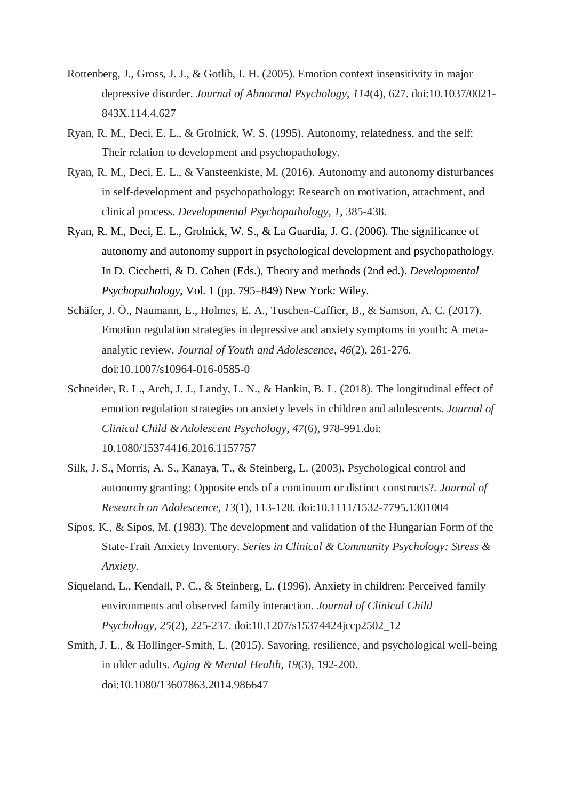- Rottenberg, J., Gross, J. J., & Gotlib, I. H. (2005). Emotion context insensitivity in major depressive disorder. *Journal of Abnormal Psychology*, *114*(4), 627. doi:10.1037/0021- 843X.114.4.627
- Ryan, R. M., Deci, E. L., & Grolnick, W. S. (1995). Autonomy, relatedness, and the self: Their relation to development and psychopathology.
- Ryan, R. M., Deci, E. L., & Vansteenkiste, M. (2016). Autonomy and autonomy disturbances in self-development and psychopathology: Research on motivation, attachment, and clinical process. *Developmental Psychopathology*, *1*, 385-438.
- Ryan, R. M., Deci, E. L., Grolnick, W. S., & La Guardia, J. G. (2006). The significance of autonomy and autonomy support in psychological development and psychopathology. In D. Cicchetti, & D. Cohen (Eds.), Theory and methods (2nd ed.). *Developmental Psychopathology*, Vol. 1 (pp. 795–849) New York: Wiley.
- Schäfer, J. Ö., Naumann, E., Holmes, E. A., Tuschen-Caffier, B., & Samson, A. C. (2017). Emotion regulation strategies in depressive and anxiety symptoms in youth: A metaanalytic review. *Journal of Youth and Adolescence*, *46*(2), 261-276. doi:10.1007/s10964-016-0585-0
- Schneider, R. L., Arch, J. J., Landy, L. N., & Hankin, B. L. (2018). The longitudinal effect of emotion regulation strategies on anxiety levels in children and adolescents. *Journal of Clinical Child & Adolescent Psychology*, *47*(6), 978-991.doi: 10.1080/15374416.2016.1157757
- Silk, J. S., Morris, A. S., Kanaya, T., & Steinberg, L. (2003). Psychological control and autonomy granting: Opposite ends of a continuum or distinct constructs?. *Journal of Research on Adolescence*, *13*(1), 113-128. doi:10.1111/1532-7795.1301004
- Sipos, K., & Sipos, M. (1983). The development and validation of the Hungarian Form of the State-Trait Anxiety Inventory. *Series in Clinical & Community Psychology: Stress & Anxiety*.
- Siqueland, L., Kendall, P. C., & Steinberg, L. (1996). Anxiety in children: Perceived family environments and observed family interaction. *Journal of Clinical Child Psychology*, *25*(2), 225-237. doi:10.1207/s15374424jccp2502\_12
- Smith, J. L., & Hollinger-Smith, L. (2015). Savoring, resilience, and psychological well-being in older adults. *Aging & Mental Health*, *19*(3), 192-200. doi:10.1080/13607863.2014.986647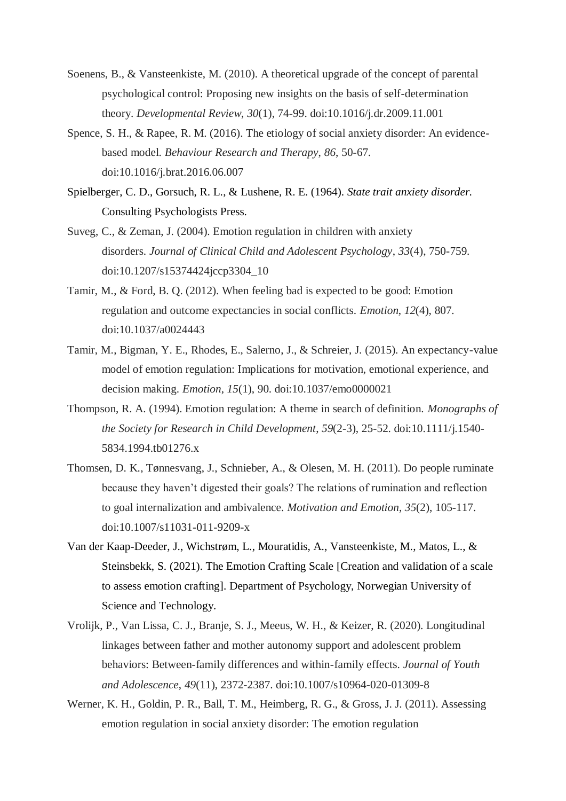- Soenens, B., & Vansteenkiste, M. (2010). A theoretical upgrade of the concept of parental psychological control: Proposing new insights on the basis of self-determination theory. *Developmental Review*, *30*(1), 74-99. doi:10.1016/j.dr.2009.11.001
- Spence, S. H., & Rapee, R. M. (2016). The etiology of social anxiety disorder: An evidencebased model. *Behaviour Research and Therapy*, *86*, 50-67. doi:10.1016/j.brat.2016.06.007
- Spielberger, C. D., Gorsuch, R. L., & Lushene, R. E. (1964). *State trait anxiety disorder.*  Consulting Psychologists Press.
- Suveg, C., & Zeman, J. (2004). Emotion regulation in children with anxiety disorders. *Journal of Clinical Child and Adolescent Psychology*, *33*(4), 750-759. doi:10.1207/s15374424jccp3304\_10
- Tamir, M., & Ford, B. Q. (2012). When feeling bad is expected to be good: Emotion regulation and outcome expectancies in social conflicts. *Emotion*, *12*(4), 807. doi:10.1037/a0024443
- Tamir, M., Bigman, Y. E., Rhodes, E., Salerno, J., & Schreier, J. (2015). An expectancy-value model of emotion regulation: Implications for motivation, emotional experience, and decision making. *Emotion*, *15*(1), 90. doi:10.1037/emo0000021
- Thompson, R. A. (1994). Emotion regulation: A theme in search of definition. *Monographs of the Society for Research in Child Development*, *59*(2-3), 25-52. doi:10.1111/j.1540- 5834.1994.tb01276.x
- Thomsen, D. K., Tønnesvang, J., Schnieber, A., & Olesen, M. H. (2011). Do people ruminate because they haven't digested their goals? The relations of rumination and reflection to goal internalization and ambivalence. *Motivation and Emotion*, *35*(2), 105-117. doi:10.1007/s11031-011-9209-x
- Van der Kaap-Deeder, J., Wichstrøm, L., Mouratidis, A., Vansteenkiste, M., Matos, L., & Steinsbekk, S. (2021). The Emotion Crafting Scale [Creation and validation of a scale to assess emotion crafting]. Department of Psychology, Norwegian University of Science and Technology.
- Vrolijk, P., Van Lissa, C. J., Branje, S. J., Meeus, W. H., & Keizer, R. (2020). Longitudinal linkages between father and mother autonomy support and adolescent problem behaviors: Between-family differences and within-family effects. *Journal of Youth and Adolescence*, *49*(11), 2372-2387. doi:10.1007/s10964-020-01309-8
- Werner, K. H., Goldin, P. R., Ball, T. M., Heimberg, R. G., & Gross, J. J. (2011). Assessing emotion regulation in social anxiety disorder: The emotion regulation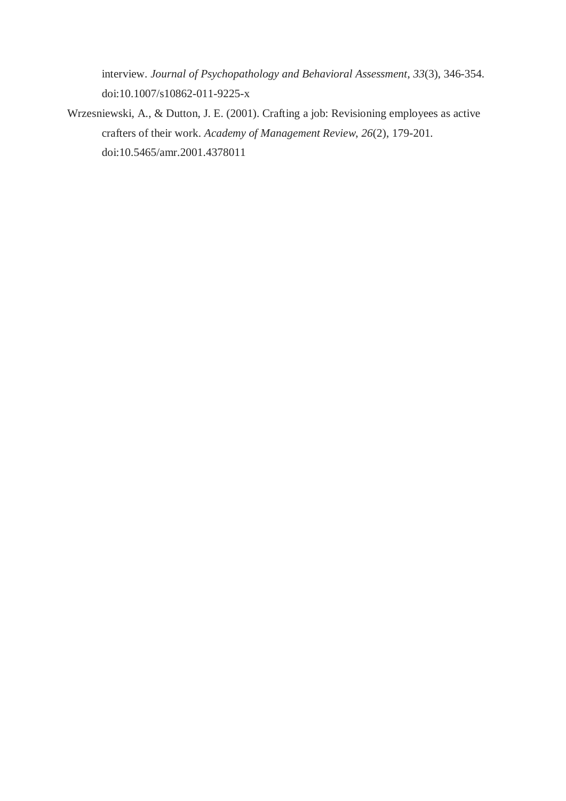interview. *Journal of Psychopathology and Behavioral Assessment*, *33*(3), 346-354. doi:10.1007/s10862-011-9225-x

Wrzesniewski, A., & Dutton, J. E. (2001). Crafting a job: Revisioning employees as active crafters of their work. *Academy of Management Review*, *26*(2), 179-201. doi:10.5465/amr.2001.4378011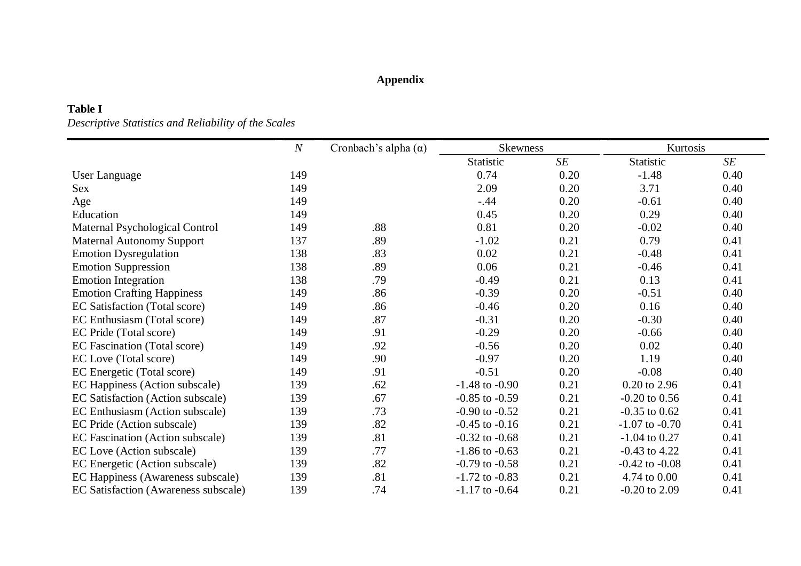### **Appendix**

### **Table I**

*Descriptive Statistics and Reliability of the Scales*

|                                      | $\boldsymbol{N}$ | Cronbach's alpha $(\alpha)$ | <b>Skewness</b>    |      | Kurtosis           |      |  |
|--------------------------------------|------------------|-----------------------------|--------------------|------|--------------------|------|--|
|                                      |                  |                             | Statistic          | SE   | Statistic          | SE   |  |
| User Language                        | 149              |                             | 0.74               | 0.20 | $-1.48$            | 0.40 |  |
| Sex                                  | 149              |                             | 2.09               | 0.20 | 3.71               | 0.40 |  |
| Age                                  | 149              |                             | $-.44$             | 0.20 | $-0.61$            | 0.40 |  |
| Education                            | 149              |                             | 0.45               | 0.20 | 0.29               | 0.40 |  |
| Maternal Psychological Control       | 149              | .88                         | 0.81               | 0.20 | $-0.02$            | 0.40 |  |
| <b>Maternal Autonomy Support</b>     | 137              | .89                         | $-1.02$            | 0.21 | 0.79               | 0.41 |  |
| <b>Emotion Dysregulation</b>         | 138              | .83                         | 0.02               | 0.21 | $-0.48$            | 0.41 |  |
| <b>Emotion Suppression</b>           | 138              | .89                         | 0.06               | 0.21 | $-0.46$            | 0.41 |  |
| <b>Emotion Integration</b>           | 138              | .79                         | $-0.49$            | 0.21 | 0.13               | 0.41 |  |
| <b>Emotion Crafting Happiness</b>    | 149              | .86                         | $-0.39$            | 0.20 | $-0.51$            | 0.40 |  |
| EC Satisfaction (Total score)        | 149              | .86                         | $-0.46$            | 0.20 | 0.16               | 0.40 |  |
| EC Enthusiasm (Total score)          | 149              | .87                         | $-0.31$            | 0.20 | $-0.30$            | 0.40 |  |
| EC Pride (Total score)               | 149              | .91                         | $-0.29$            | 0.20 | $-0.66$            | 0.40 |  |
| EC Fascination (Total score)         | 149              | .92                         | $-0.56$            | 0.20 | 0.02               | 0.40 |  |
| EC Love (Total score)                | 149              | .90                         | $-0.97$            | 0.20 | 1.19               | 0.40 |  |
| EC Energetic (Total score)           | 149              | .91                         | $-0.51$            | 0.20 | $-0.08$            | 0.40 |  |
| EC Happiness (Action subscale)       | 139              | .62                         | $-1.48$ to $-0.90$ | 0.21 | 0.20 to 2.96       | 0.41 |  |
| EC Satisfaction (Action subscale)    | 139              | .67                         | $-0.85$ to $-0.59$ | 0.21 | $-0.20$ to $0.56$  | 0.41 |  |
| EC Enthusiasm (Action subscale)      | 139              | .73                         | $-0.90$ to $-0.52$ | 0.21 | $-0.35$ to $0.62$  | 0.41 |  |
| EC Pride (Action subscale)           | 139              | .82                         | $-0.45$ to $-0.16$ | 0.21 | $-1.07$ to $-0.70$ | 0.41 |  |
| EC Fascination (Action subscale)     | 139              | .81                         | $-0.32$ to $-0.68$ | 0.21 | $-1.04$ to 0.27    | 0.41 |  |
| EC Love (Action subscale)            | 139              | .77                         | $-1.86$ to $-0.63$ | 0.21 | $-0.43$ to $4.22$  | 0.41 |  |
| EC Energetic (Action subscale)       | 139              | .82                         | $-0.79$ to $-0.58$ | 0.21 | $-0.42$ to $-0.08$ | 0.41 |  |
| EC Happiness (Awareness subscale)    | 139              | .81                         | $-1.72$ to $-0.83$ | 0.21 | 4.74 to 0.00       | 0.41 |  |
| EC Satisfaction (Awareness subscale) | 139              | .74                         | $-1.17$ to $-0.64$ | 0.21 | $-0.20$ to 2.09    | 0.41 |  |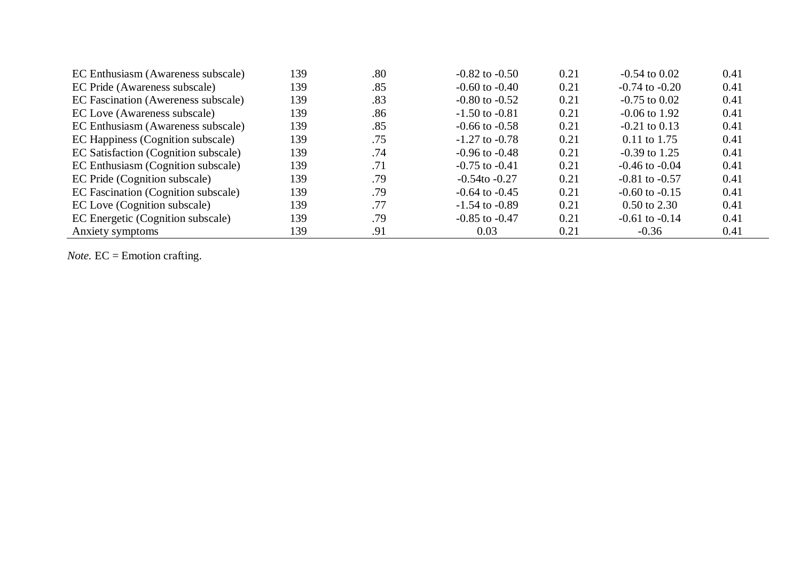| EC Enthusiasm (Awareness subscale)   | 139 | .80 | $-0.82$ to $-0.50$ | 0.21 | $-0.54$ to $0.02$       | 0.41 |
|--------------------------------------|-----|-----|--------------------|------|-------------------------|------|
| EC Pride (Awareness subscale)        | 139 | .85 | $-0.60$ to $-0.40$ | 0.21 | $-0.74$ to $-0.20$      | 0.41 |
| EC Fascination (Awereness subscale)  | 139 | .83 | $-0.80$ to $-0.52$ | 0.21 | $-0.75$ to $0.02$       | 0.41 |
| EC Love (Awareness subscale)         | 139 | .86 | $-1.50$ to $-0.81$ | 0.21 | $-0.06$ to 1.92         | 0.41 |
| EC Enthusiasm (Awareness subscale)   | 139 | .85 | $-0.66$ to $-0.58$ | 0.21 | $-0.21$ to $0.13$       | 0.41 |
| EC Happiness (Cognition subscale)    | 139 | .75 | $-1.27$ to $-0.78$ | 0.21 | $0.11$ to 1.75          | 0.41 |
| EC Satisfaction (Cognition subscale) | 139 | .74 | $-0.96$ to $-0.48$ | 0.21 | $-0.39$ to 1.25         | 0.41 |
| EC Enthusiasm (Cognition subscale)   | 139 | .71 | $-0.75$ to $-0.41$ | 0.21 | $-0.46$ to $-0.04$      | 0.41 |
| EC Pride (Cognition subscale)        | 139 | .79 | $-0.54$ to $-0.27$ | 0.21 | $-0.81$ to $-0.57$      | 0.41 |
| EC Fascination (Cognition subscale)  | 139 | .79 | $-0.64$ to $-0.45$ | 0.21 | $-0.60$ to $-0.15$      | 0.41 |
| EC Love (Cognition subscale)         | 139 | .77 | $-1.54$ to $-0.89$ | 0.21 | $0.50 \text{ to } 2.30$ | 0.41 |
| EC Energetic (Cognition subscale)    | 139 | .79 | $-0.85$ to $-0.47$ | 0.21 | $-0.61$ to $-0.14$      | 0.41 |
| Anxiety symptoms                     | 139 | .91 | 0.03               | 0.21 | $-0.36$                 | 0.41 |

Note. EC = Emotion crafting.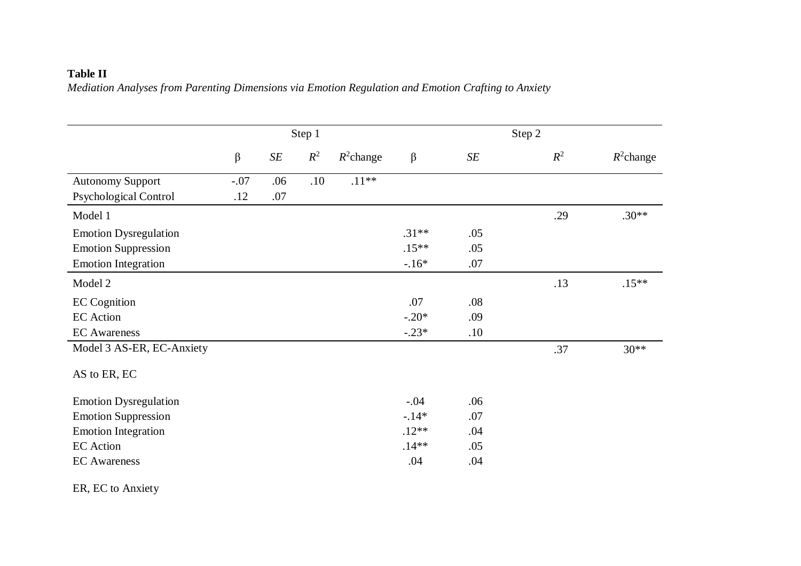### **Table II**

*Mediation Analyses from Parenting Dimensions via Emotion Regulation and Emotion Crafting to Anxiety*

|                              |        |           | Step 1 |              |         |     | Step 2 |              |
|------------------------------|--------|-----------|--------|--------------|---------|-----|--------|--------------|
|                              | β      | $\cal SE$ | $R^2$  | $R^2$ change | β       | SE  | $R^2$  | $R^2$ change |
| <b>Autonomy Support</b>      | $-.07$ | .06       | .10    | $.11**$      |         |     |        |              |
| <b>Psychological Control</b> | .12    | .07       |        |              |         |     |        |              |
| Model 1                      |        |           |        |              |         |     | .29    | $.30**$      |
| <b>Emotion Dysregulation</b> |        |           |        |              | $.31**$ | .05 |        |              |
| <b>Emotion Suppression</b>   |        |           |        |              | $.15**$ | .05 |        |              |
| <b>Emotion Integration</b>   |        |           |        |              | $-.16*$ | .07 |        |              |
| Model 2                      |        |           |        |              |         |     | .13    | $.15**$      |
| <b>EC</b> Cognition          |        |           |        |              | .07     | .08 |        |              |
| <b>EC</b> Action             |        |           |        |              | $-.20*$ | .09 |        |              |
| <b>EC</b> Awareness          |        |           |        |              | $-.23*$ | .10 |        |              |
| Model 3 AS-ER, EC-Anxiety    |        |           |        |              |         |     | .37    | $30**$       |
| AS to ER, EC                 |        |           |        |              |         |     |        |              |
| <b>Emotion Dysregulation</b> |        |           |        |              | $-.04$  | .06 |        |              |
| <b>Emotion Suppression</b>   |        |           |        |              | $-.14*$ | .07 |        |              |
| <b>Emotion Integration</b>   |        |           |        |              | $.12**$ | .04 |        |              |
| <b>EC</b> Action             |        |           |        |              | $.14**$ | .05 |        |              |
| <b>EC</b> Awareness          |        |           |        |              | .04     | .04 |        |              |

ER, EC to Anxiety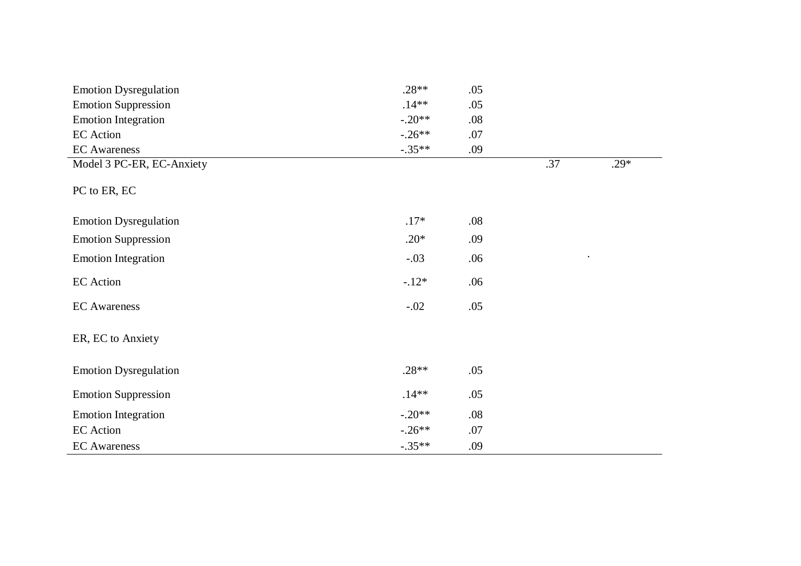| <b>Emotion Dysregulation</b> | $.28**$  | .05 |     |        |
|------------------------------|----------|-----|-----|--------|
| <b>Emotion Suppression</b>   | $.14***$ | .05 |     |        |
| <b>Emotion Integration</b>   | $-.20**$ | .08 |     |        |
| <b>EC</b> Action             | $-.26**$ | .07 |     |        |
| <b>EC</b> Awareness          | $-.35**$ | .09 |     |        |
| Model 3 PC-ER, EC-Anxiety    |          |     | .37 | $.29*$ |
| PC to ER, EC                 |          |     |     |        |
| <b>Emotion Dysregulation</b> | $.17*$   | .08 |     |        |
| <b>Emotion Suppression</b>   | $.20*$   | .09 |     |        |
| <b>Emotion Integration</b>   | $-.03$   | .06 |     |        |
| <b>EC</b> Action             | $-.12*$  | .06 |     |        |
| <b>EC</b> Awareness          | $-.02$   | .05 |     |        |
| ER, EC to Anxiety            |          |     |     |        |
| <b>Emotion Dysregulation</b> | $.28**$  | .05 |     |        |
| <b>Emotion Suppression</b>   | $.14**$  | .05 |     |        |
| <b>Emotion Integration</b>   | $-.20**$ | .08 |     |        |
| <b>EC</b> Action             | $-.26**$ | .07 |     |        |
| <b>EC</b> Awareness          | $-.35**$ | .09 |     |        |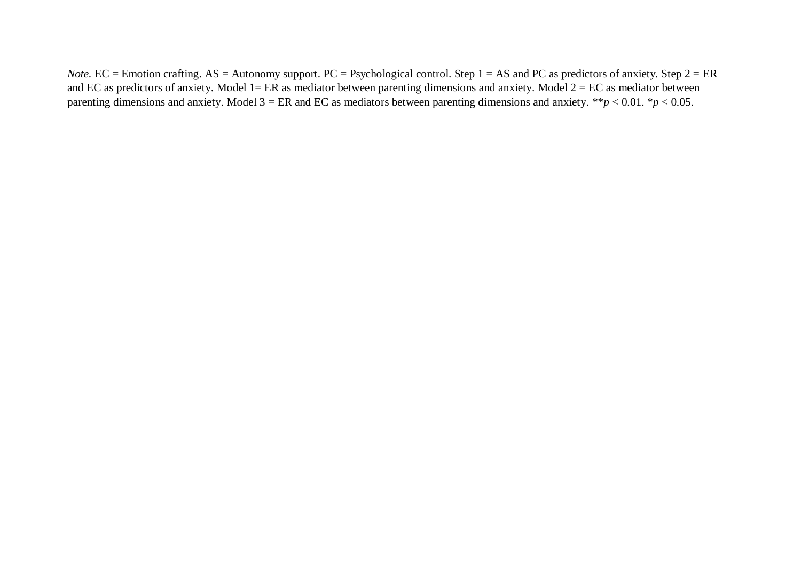*Note.* EC = Emotion crafting. AS = Autonomy support. PC = Psychological control. Step 1 = AS and PC as predictors of anxiety. Step 2 = ER and EC as predictors of anxiety. Model  $1 = ER$  as mediator between parenting dimensions and anxiety. Model  $2 = EC$  as mediator between parenting dimensions and anxiety. Model 3 = ER and EC as mediators between parenting dimensions and anxiety. \*\**p* < 0.01. \**p* < 0.05.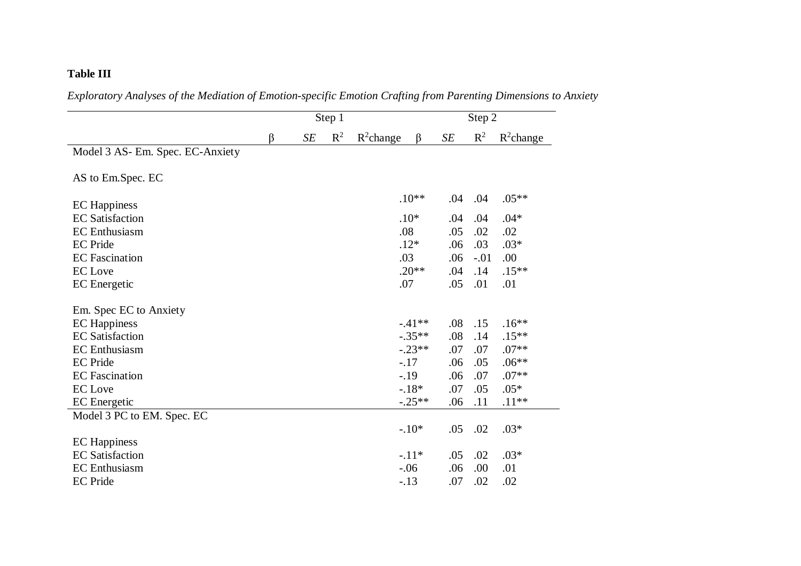### **Table III**

|                                  | Step 1 |    |       |              |          | Step 2 |        |              |  |
|----------------------------------|--------|----|-------|--------------|----------|--------|--------|--------------|--|
|                                  | β      | SE | $R^2$ | $R^2$ change | $\beta$  | SE     | $R^2$  | $R^2$ change |  |
| Model 3 AS- Em. Spec. EC-Anxiety |        |    |       |              |          |        |        |              |  |
| AS to Em.Spec. EC                |        |    |       |              |          |        |        |              |  |
| <b>EC</b> Happiness              |        |    |       |              | $.10**$  | .04    | .04    | $.05**$      |  |
| <b>EC</b> Satisfaction           |        |    |       |              | $.10*$   | .04    | .04    | $.04*$       |  |
| <b>EC</b> Enthusiasm             |        |    |       |              | .08      | .05    | .02    | .02          |  |
| <b>EC</b> Pride                  |        |    |       |              | $.12*$   | .06    | .03    | $.03*$       |  |
| <b>EC</b> Fascination            |        |    |       |              | .03      | .06    | $-.01$ | .00          |  |
| <b>EC</b> Love                   |        |    |       |              | $.20**$  | .04    | .14    | $.15***$     |  |
| <b>EC</b> Energetic              |        |    |       |              | .07      | .05    | .01    | .01          |  |
| Em. Spec EC to Anxiety           |        |    |       |              |          |        |        |              |  |
| <b>EC</b> Happiness              |        |    |       |              | $-.41**$ | .08    | .15    | $.16**$      |  |
| <b>EC</b> Satisfaction           |        |    |       |              | $-.35**$ | .08    | .14    | $.15**$      |  |
| <b>EC</b> Enthusiasm             |        |    |       |              | $-.23**$ | .07    | .07    | $.07**$      |  |
| <b>EC</b> Pride                  |        |    |       |              | $-.17$   | .06    | .05    | $.06**$      |  |
| <b>EC</b> Fascination            |        |    |       |              | $-.19$   | .06    | .07    | $.07**$      |  |
| <b>EC</b> Love                   |        |    |       |              | $-.18*$  | .07    | .05    | $.05*$       |  |
| <b>EC</b> Energetic              |        |    |       |              | $-.25**$ | .06    | .11    | $.11**$      |  |
| Model 3 PC to EM. Spec. EC       |        |    |       |              |          |        |        |              |  |
|                                  |        |    |       |              | $-.10*$  | .05    | .02    | $.03*$       |  |
| <b>EC</b> Happiness              |        |    |       |              |          |        |        |              |  |
| <b>EC</b> Satisfaction           |        |    |       |              | $-.11*$  | .05    | .02    | $.03*$       |  |
| <b>EC</b> Enthusiasm             |        |    |       |              | $-.06$   | .06    | .00    | .01          |  |
| <b>EC</b> Pride                  |        |    |       |              | $-.13$   | .07    | .02    | .02          |  |

*Exploratory Analyses of the Mediation of Emotion-specific Emotion Crafting from Parenting Dimensions to Anxiety*